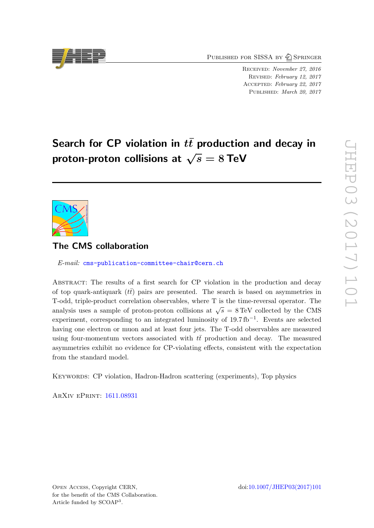PUBLISHED FOR SISSA BY 2 SPRINGER

Received: November 27, 2016 Revised: February 12, 2017 Accepted: February 22, 2017 PUBLISHED: March 20, 2017

# Search for CP violation in  $t\bar{t}$  production and decay in proton-proton collisions at  $\sqrt{s} = 8$  TeV



## The CMS collaboration

E-mail: [cms-publication-committee-chair@cern.ch](mailto:cms-publication-committee-chair@cern.ch)

Abstract: The results of a first search for CP violation in the production and decay of top quark-antiquark  $(t\bar{t})$  pairs are presented. The search is based on asymmetries in T-odd, triple-product correlation observables, where T is the time-reversal operator. The analysis uses a sample of proton-proton collisions at  $\sqrt{s} = 8$  TeV collected by the CMS experiment, corresponding to an integrated luminosity of  $19.7 \text{ fb}^{-1}$ . Events are selected having one electron or muon and at least four jets. The T-odd observables are measured using four-momentum vectors associated with  $t\bar{t}$  production and decay. The measured asymmetries exhibit no evidence for CP-violating effects, consistent with the expectation from the standard model.

Keywords: CP violation, Hadron-Hadron scattering (experiments), Top physics

ArXiv ePrint: [1611.08931](https://arxiv.org/abs/1611.08931)



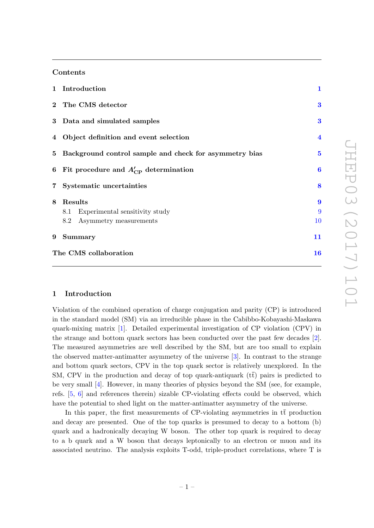## Contents

|   | 1 Introduction                                           | $\mathbf{1}$            |  |  |  |
|---|----------------------------------------------------------|-------------------------|--|--|--|
|   | 2 The CMS detector                                       | 3                       |  |  |  |
|   | 3 Data and simulated samples                             | 3                       |  |  |  |
|   | 4 Object definition and event selection                  | $\overline{\mathbf{4}}$ |  |  |  |
|   | 5 Background control sample and check for asymmetry bias | $\mathbf{5}$            |  |  |  |
|   | 6 Fit procedure and $A'_{\text{CP}}$ determination       | $\boldsymbol{6}$        |  |  |  |
|   | 7 Systematic uncertainties                               | 8                       |  |  |  |
| 8 | Results                                                  | $\boldsymbol{9}$        |  |  |  |
|   | 8.1 Experimental sensitivity study                       | 9                       |  |  |  |
|   | 8.2 Asymmetry measurements                               | 10                      |  |  |  |
|   | 9 Summary                                                | 11                      |  |  |  |
|   | The CMS collaboration                                    |                         |  |  |  |

## <span id="page-1-0"></span>1 Introduction

Violation of the combined operation of charge conjugation and parity (CP) is introduced in the standard model (SM) via an irreducible phase in the Cabibbo-Kobayashi-Maskawa quark-mixing matrix [\[1\]](#page-13-0). Detailed experimental investigation of CP violation (CPV) in the strange and bottom quark sectors has been conducted over the past few decades [\[2\]](#page-13-1). The measured asymmetries are well described by the SM, but are too small to explain the observed matter-antimatter asymmetry of the universe [\[3\]](#page-13-2). In contrast to the strange and bottom quark sectors, CPV in the top quark sector is relatively unexplored. In the SM, CPV in the production and decay of top quark-antiquark  $(t\bar{t})$  pairs is predicted to be very small [\[4\]](#page-13-3). However, in many theories of physics beyond the SM (see, for example, refs. [\[5,](#page-13-4) [6\]](#page-14-0) and references therein) sizable CP-violating effects could be observed, which have the potential to shed light on the matter-antimatter asymmetry of the universe.

In this paper, the first measurements of CP-violating asymmetries in  $t\bar{t}$  production and decay are presented. One of the top quarks is presumed to decay to a bottom (b) quark and a hadronically decaying W boson. The other top quark is required to decay to a b quark and a W boson that decays leptonically to an electron or muon and its associated neutrino. The analysis exploits T-odd, triple-product correlations, where T is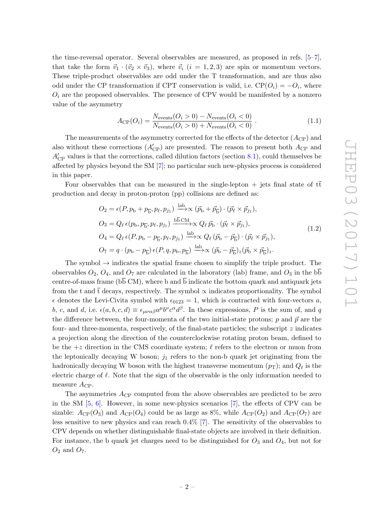the time-reversal operator. Several observables are measured, as proposed in refs. [\[5](#page-13-4)[–7\]](#page-14-1), that take the form  $\vec{v}_1 \cdot (\vec{v}_2 \times \vec{v}_3)$ , where  $\vec{v}_i$   $(i = 1, 2, 3)$  are spin or momentum vectors. These triple-product observables are odd under the T transformation, and are thus also odd under the CP transformation if CPT conservation is valid, i.e.  $CP(O_i) = -O_i$ , where  $O_i$  are the proposed observables. The presence of CPV would be manifested by a nonzero value of the asymmetry

<span id="page-2-0"></span>
$$
A_{\rm CP}(O_i) = \frac{N_{\rm events}(O_i > 0) - N_{\rm events}(O_i < 0)}{N_{\rm events}(O_i > 0) + N_{\rm events}(O_i < 0)}.
$$
\n(1.1)

The measurements of the asymmetry corrected for the effects of the detector  $(A_{\text{CP}})$  and also without these corrections  $(A'_{\text{CP}})$  are presented. The reason to present both  $A_{\text{CP}}$  and  $A'_{\rm CP}$  values is that the corrections, called dilution factors (section [8.1\)](#page-9-1), could themselves be affected by physics beyond the SM [\[7\]](#page-14-1); no particular such new-physics process is considered in this paper.

Four observables that can be measured in the single-lepton  $+$  jets final state of  $t\bar{t}$ production and decay in proton-proton (pp) collisions are defined as:

$$
O_2 = \epsilon(P, p_b + p_{\overline{b}}, p_{\ell}, p_{j_1}) \xrightarrow{\text{lab}} \propto (\vec{p}_b + \vec{p}_{\overline{b}}) \cdot (\vec{p}_{\ell} \times \vec{p}_{j_1}),
$$
  
\n
$$
O_3 = Q_{\ell} \epsilon(p_b, p_{\overline{b}}, p_{\ell}, p_{j_1}) \xrightarrow{\text{bb CM}} \propto Q_{\ell} \vec{p}_b \cdot (\vec{p}_{\ell} \times \vec{p}_{j_1}),
$$
  
\n
$$
O_4 = Q_{\ell} \epsilon(P, p_b - p_{\overline{b}}, p_{\ell}, p_{j_1}) \xrightarrow{\text{lab}} \propto Q_{\ell} (\vec{p}_b - \vec{p}_{\overline{b}}) \cdot (\vec{p}_{\ell} \times \vec{p}_{j_1}),
$$
  
\n
$$
O_7 = q \cdot (p_b - p_{\overline{b}}) \epsilon(P, q, p_b, p_{\overline{b}}) \xrightarrow{\text{lab}} \propto (\vec{p}_b - \vec{p}_{\overline{b}})_{z} (\vec{p}_b \times \vec{p}_{\overline{b}})_{z}.
$$
\n(1.2)

<span id="page-2-1"></span>The symbol  $\rightarrow$  indicates the spatial frame chosen to simplify the triple product. The observables  $O_2$ ,  $O_4$ , and  $O_7$  are calculated in the laboratory (lab) frame, and  $O_3$  in the bb centre-of-mass frame ( $b\overline{b}$  CM), where b and  $\overline{b}$  indicate the bottom quark and antiquark jets from the t and  $\bar{t}$  decays, respectively. The symbol  $\alpha$  indicates proportionality. The symbol  $\epsilon$  denotes the Levi-Civita symbol with  $\epsilon_{0123} = 1$ , which is contracted with four-vectors a, b, c, and d, i.e.  $\epsilon(a, b, c, d) \equiv \epsilon_{\mu\nu\alpha\beta} a^{\mu} b^{\nu} c^{\alpha} d^{\beta}$ . In these expressions, P is the sum of, and q the difference between, the four-momenta of the two initial-state protons; p and  $\vec{p}$  are the four- and three-momenta, respectively, of the final-state particles; the subscript  $z$  indicates a projection along the direction of the counterclockwise rotating proton beam, defined to be the  $+z$  direction in the CMS coordinate system;  $\ell$  refers to the electron or muon from the leptonically decaying W boson;  $j_1$  refers to the non-b quark jet originating from the hadronically decaying W boson with the highest transverse momentum  $(p_T)$ ; and  $Q_\ell$  is the electric charge of  $\ell$ . Note that the sign of the observable is the only information needed to measure  $A_{\rm CP}$ .

The asymmetries  $A_{\rm CP}$  computed from the above observables are predicted to be zero in the SM [\[5,](#page-13-4) [6\]](#page-14-0). However, in some new-physics scenarios [\[7\]](#page-14-1), the effects of CPV can be sizable:  $A_{\text{CP}}(O_3)$  and  $A_{\text{CP}}(O_4)$  could be as large as 8%, while  $A_{\text{CP}}(O_2)$  and  $A_{\text{CP}}(O_7)$  are less sensitive to new physics and can reach 0.4% [\[7\]](#page-14-1). The sensitivity of the observables to CPV depends on whether distinguishable final-state objects are involved in their definition. For instance, the b quark jet charges need to be distinguished for  $O_3$  and  $O_4$ , but not for  $O_2$  and  $O_7$ .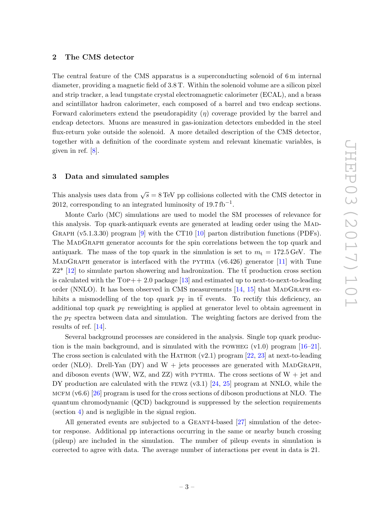#### <span id="page-3-0"></span>2 The CMS detector

The central feature of the CMS apparatus is a superconducting solenoid of 6 m internal diameter, providing a magnetic field of 3.8 T. Within the solenoid volume are a silicon pixel and strip tracker, a lead tungstate crystal electromagnetic calorimeter (ECAL), and a brass and scintillator hadron calorimeter, each composed of a barrel and two endcap sections. Forward calorimeters extend the pseudorapidity  $(n)$  coverage provided by the barrel and endcap detectors. Muons are measured in gas-ionization detectors embedded in the steel flux-return yoke outside the solenoid. A more detailed description of the CMS detector, together with a definition of the coordinate system and relevant kinematic variables, is given in ref. [\[8\]](#page-14-2).

### <span id="page-3-1"></span>3 Data and simulated samples

This analysis uses data from  $\sqrt{s} = 8 \,\text{TeV}$  pp collisions collected with the CMS detector in 2012, corresponding to an integrated luminosity of  $19.7 \text{ fb}^{-1}$ .

Monte Carlo (MC) simulations are used to model the SM processes of relevance for this analysis. Top quark-antiquark events are generated at leading order using the MAD-GRAPH (v5.1.3.30) program [\[9\]](#page-14-3) with the CT10 [\[10\]](#page-14-4) parton distribution functions (PDFs). The MadGraph generator accounts for the spin correlations between the top quark and antiquark. The mass of the top quark in the simulation is set to  $m_t = 172.5 \,\text{GeV}$ . The MADGRAPH generator is interfaced with the PYTHIA  $(v6.426)$  generator [\[11\]](#page-14-5) with Tune  $Z2^*$  [\[12\]](#page-14-6) to simulate parton showering and hadronization. The  $t\bar{t}$  production cross section is calculated with the  $Top++ 2.0$  package [\[13\]](#page-14-7) and estimated up to next-to-next-to-leading order (NNLO). It has been observed in CMS measurements [\[14,](#page-14-8) [15\]](#page-14-9) that MadGraph exhibits a mismodelling of the top quark  $p<sub>T</sub>$  in  $t\bar{t}$  events. To rectify this deficiency, an additional top quark  $p<sub>T</sub>$  reweighting is applied at generator level to obtain agreement in the  $p_T$  spectra between data and simulation. The weighting factors are derived from the results of ref. [\[14\]](#page-14-8).

Several background processes are considered in the analysis. Single top quark production is the main background, and is simulated with the POWHEG  $(v1.0)$  program  $[16–21]$  $[16–21]$ . The cross section is calculated with the HATHOR  $(v2.1)$  program [\[22,](#page-14-12) [23\]](#page-14-13) at next-to-leading order (NLO). Drell-Yan (DY) and  $W +$  jets processes are generated with MADGRAPH, and diboson events (WW, WZ, and ZZ) with PYTHIA. The cross sections of  $W + jet$  and DY production are calculated with the FEWZ (v3.1) [\[24,](#page-15-0) [25\]](#page-15-1) program at NNLO, while the MCFM  $(v6.6)$  [\[26\]](#page-15-2) program is used for the cross sections of diboson productions at NLO. The quantum chromodynamic (QCD) background is suppressed by the selection requirements (section [4\)](#page-4-0) and is negligible in the signal region.

All generated events are subjected to a Geant4-based [\[27\]](#page-15-3) simulation of the detector response. Additional pp interactions occurring in the same or nearby bunch crossing (pileup) are included in the simulation. The number of pileup events in simulation is corrected to agree with data. The average number of interactions per event in data is 21.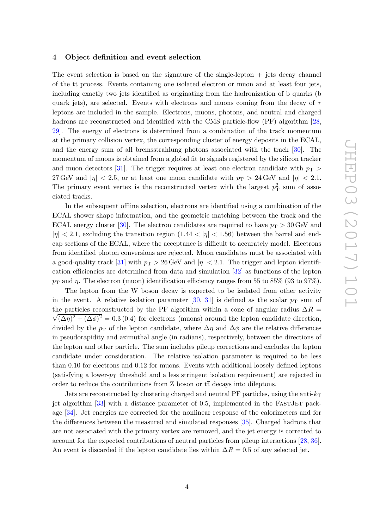### <span id="page-4-0"></span>4 Object definition and event selection

The event selection is based on the signature of the single-lepton  $+$  jets decay channel of the tt process. Events containing one isolated electron or muon and at least four jets, including exactly two jets identified as originating from the hadronization of b quarks (b quark jets), are selected. Events with electrons and muons coming from the decay of  $\tau$ leptons are included in the sample. Electrons, muons, photons, and neutral and charged hadrons are reconstructed and identified with the CMS particle-flow (PF) algorithm [\[28,](#page-15-4) [29\]](#page-15-5). The energy of electrons is determined from a combination of the track momentum at the primary collision vertex, the corresponding cluster of energy deposits in the ECAL, and the energy sum of all bremsstrahlung photons associated with the track [\[30\]](#page-15-6). The momentum of muons is obtained from a global fit to signals registered by the silicon tracker and muon detectors [\[31\]](#page-15-7). The trigger requires at least one electron candidate with  $p_T$  > 27 GeV and  $|\eta| < 2.5$ , or at least one muon candidate with  $p_T > 24$  GeV and  $|\eta| < 2.1$ . The primary event vertex is the reconstructed vertex with the largest  $p_T^2$  sum of associated tracks.

In the subsequent offline selection, electrons are identified using a combination of the ECAL shower shape information, and the geometric matching between the track and the ECAL energy cluster [\[30\]](#page-15-6). The electron candidates are required to have  $p_T > 30$  GeV and  $|\eta| < 2.1$ , excluding the transition region  $(1.44 < |\eta| < 1.56)$  between the barrel and endcap sections of the ECAL, where the acceptance is difficult to accurately model. Electrons from identified photon conversions are rejected. Muon candidates must be associated with a good-quality track [\[31\]](#page-15-7) with  $p_T > 26$  GeV and  $|\eta| < 2.1$ . The trigger and lepton identification efficiencies are determined from data and simulation [\[32\]](#page-15-8) as functions of the lepton  $p_{\rm T}$  and  $\eta$ . The electron (muon) identification efficiency ranges from 55 to 85% (93 to 97%).

The lepton from the W boson decay is expected to be isolated from other activity in the event. A relative isolation parameter [\[30,](#page-15-6) [31\]](#page-15-7) is defined as the scalar  $p_T$  sum of the particles reconstructed by the PF algorithm within a cone of angular radius  $\Delta R =$  $(\Delta \eta)^2 + (\Delta \phi)^2 = 0.3$  (0.4) for electrons (muons) around the lepton candidate direction, divided by the  $p_T$  of the lepton candidate, where  $\Delta \eta$  and  $\Delta \phi$  are the relative differences in pseudorapidity and azimuthal angle (in radians), respectively, between the directions of the lepton and other particle. The sum includes pileup corrections and excludes the lepton candidate under consideration. The relative isolation parameter is required to be less than 0.10 for electrons and 0.12 for muons. Events with additional loosely defined leptons (satisfying a lower- $p_T$  threshold and a less stringent isolation requirement) are rejected in order to reduce the contributions from Z boson or  $t\bar{t}$  decays into dileptons.

Jets are reconstructed by clustering charged and neutral PF particles, using the anti- $k_T$ jet algorithm  $[33]$  with a distance parameter of 0.5, implemented in the FASTJET package [\[34\]](#page-15-10). Jet energies are corrected for the nonlinear response of the calorimeters and for the differences between the measured and simulated responses [\[35\]](#page-15-11). Charged hadrons that are not associated with the primary vertex are removed, and the jet energy is corrected to account for the expected contributions of neutral particles from pileup interactions [\[28,](#page-15-4) [36\]](#page-15-12). An event is discarded if the lepton candidate lies within  $\Delta R = 0.5$  of any selected jet.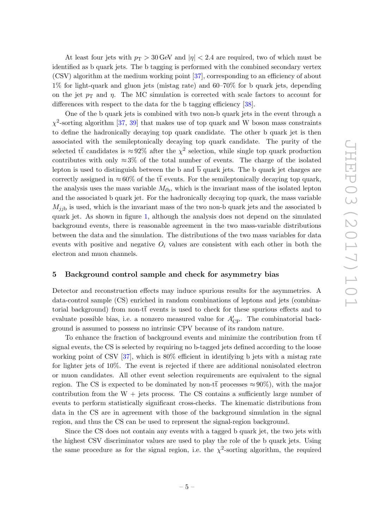At least four jets with  $p_T > 30$  GeV and  $|\eta| < 2.4$  are required, two of which must be identified as b quark jets. The b tagging is performed with the combined secondary vertex (CSV) algorithm at the medium working point [\[37\]](#page-15-13), corresponding to an efficiency of about 1% for light-quark and gluon jets (mistag rate) and 60–70% for b quark jets, depending on the jet  $p_T$  and  $\eta$ . The MC simulation is corrected with scale factors to account for differences with respect to the data for the b tagging efficiency [\[38\]](#page-15-14).

One of the b quark jets is combined with two non-b quark jets in the event through a  $\chi^2$ -sorting algorithm [\[37,](#page-15-13) [39\]](#page-15-15) that makes use of top quark and W boson mass constraints to define the hadronically decaying top quark candidate. The other b quark jet is then associated with the semileptonically decaying top quark candidate. The purity of the selected tt candidates is  $\approx 92\%$  after the  $\chi^2$  selection, while single top quark production contributes with only  $\approx 3\%$  of the total number of events. The charge of the isolated lepton is used to distinguish between the b and  $\overline{b}$  quark jets. The b quark jet charges are correctly assigned in  $\approx 60\%$  of the tte events. For the semileptonically decaying top quark, the analysis uses the mass variable  $M_{\ell_{\rm b}}$ , which is the invariant mass of the isolated lepton and the associated b quark jet. For the hadronically decaying top quark, the mass variable  $M_{jib}$  is used, which is the invariant mass of the two non-b quark jets and the associated b quark jet. As shown in figure [1,](#page-6-1) although the analysis does not depend on the simulated background events, there is reasonable agreement in the two mass-variable distributions between the data and the simulation. The distributions of the two mass variables for data events with positive and negative  $O_i$  values are consistent with each other in both the electron and muon channels.

### <span id="page-5-0"></span>5 Background control sample and check for asymmetry bias

Detector and reconstruction effects may induce spurious results for the asymmetries. A data-control sample (CS) enriched in random combinations of leptons and jets (combinatorial background) from non-tt events is used to check for these spurious effects and to evaluate possible bias, i.e. a nonzero measured value for  $A'_{\text{CP}}$ . The combinatorial background is assumed to possess no intrinsic CPV because of its random nature.

To enhance the fraction of background events and minimize the contribution from  $t\bar{t}$ signal events, the CS is selected by requiring no b-tagged jets defined according to the loose working point of CSV [\[37\]](#page-15-13), which is 80% efficient in identifying b jets with a mistag rate for lighter jets of 10%. The event is rejected if there are additional nonisolated electron or muon candidates. All other event selection requirements are equivalent to the signal region. The CS is expected to be dominated by non-tt processes  $\approx 90\%$ , with the major contribution from the  $W +$  jets process. The CS contains a sufficiently large number of events to perform statistically significant cross-checks. The kinematic distributions from data in the CS are in agreement with those of the background simulation in the signal region, and thus the CS can be used to represent the signal-region background.

Since the CS does not contain any events with a tagged b quark jet, the two jets with the highest CSV discriminator values are used to play the role of the b quark jets. Using the same procedure as for the signal region, i.e. the  $\chi^2$ -sorting algorithm, the required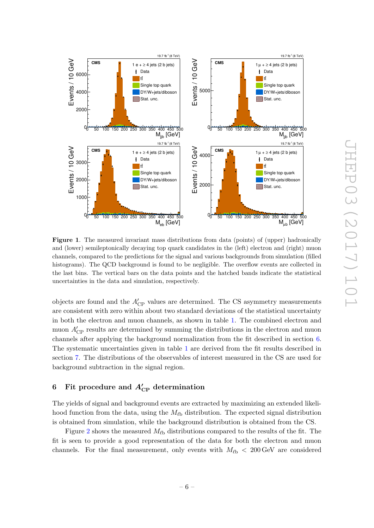

<span id="page-6-1"></span>Figure 1. The measured invariant mass distributions from data (points) of (upper) hadronically and (lower) semileptonically decaying top quark candidates in the (left) electron and (right) muon channels, compared to the predictions for the signal and various backgrounds from simulation (filled histograms). The QCD background is found to be negligible. The overflow events are collected in the last bins. The vertical bars on the data points and the hatched bands indicate the statistical uncertainties in the data and simulation, respectively.

objects are found and the  $A'_{\rm CP}$  values are determined. The CS asymmetry measurements are consistent with zero within about two standard deviations of the statistical uncertainty in both the electron and muon channels, as shown in table [1.](#page-7-0) The combined electron and muon  $A'_{\rm CP}$  results are determined by summing the distributions in the electron and muon channels after applying the background normalization from the fit described in section [6.](#page-6-0) The systematic uncertainties given in table [1](#page-7-0) are derived from the fit results described in section [7.](#page-8-0) The distributions of the observables of interest measured in the CS are used for background subtraction in the signal region.

## <span id="page-6-0"></span>6 Fit procedure and  $A_{\rm CP}'$  determination

The yields of signal and background events are extracted by maximizing an extended likelihood function from the data, using the  $M_{\ell b}$  distribution. The expected signal distribution is obtained from simulation, while the background distribution is obtained from the CS.

Figure [2](#page-7-1) shows the measured  $M_{\ell b}$  distributions compared to the results of the fit. The fit is seen to provide a good representation of the data for both the electron and muon channels. For the final measurement, only events with  $M_{\ell b} < 200 \,\text{GeV}$  are considered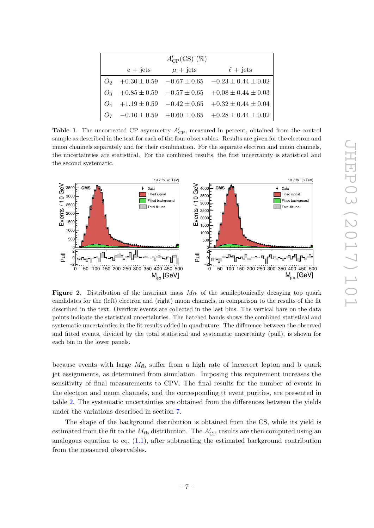| $A'_{\rm CP}({\rm CS})$ (%)                                          |            |              |                                                                     |  |  |  |  |
|----------------------------------------------------------------------|------------|--------------|---------------------------------------------------------------------|--|--|--|--|
|                                                                      | $e + jets$ | $\mu$ + jets | $\ell$ + jets                                                       |  |  |  |  |
|                                                                      |            |              | $O_2$ +0.30 ± 0.59 -0.67 ± 0.65 -0.23 ± 0.44 ± 0.02                 |  |  |  |  |
|                                                                      |            |              | $O_3$ +0.85 ± 0.59 -0.57 ± 0.65 +0.08 ± 0.44 ± 0.03                 |  |  |  |  |
|                                                                      |            |              | $O_4$ +1.19 ± 0.59 -0.42 ± 0.65 +0.32 ± 0.44 ± 0.04                 |  |  |  |  |
|                                                                      |            |              | $O_7$ -0.10 $\pm$ 0.59 +0.60 $\pm$ 0.65 +0.28 $\pm$ 0.44 $\pm$ 0.02 |  |  |  |  |
| corrected CP asymmetry $A_{CD}$ , measured in percent, obtained from |            |              |                                                                     |  |  |  |  |

<span id="page-7-0"></span>**Table 1.** The uncorrected CP asymmetry  $A'_{\text{CI}}$ om the control sample as described in the text for each of the four observables. Results are given for the electron and muon channels separately and for their combination. For the separate electron and muon channels, the uncertainties are statistical. For the combined results, the first uncertainty is statistical and the second systematic.



<span id="page-7-1"></span>**Figure 2.** Distribution of the invariant mass  $M_{\ell_{\rm b}}$  of the semileptonically decaying top quark candidates for the (left) electron and (right) muon channels, in comparison to the results of the fit described in the text. Overflow events are collected in the last bins. The vertical bars on the data points indicate the statistical uncertainties. The hatched bands shows the combined statistical and systematic uncertainties in the fit results added in quadrature. The difference between the observed and fitted events, divided by the total statistical and systematic uncertainty (pull), is shown for each bin in the lower panels.

because events with large  $M_{\ell b}$  suffer from a high rate of incorrect lepton and b quark jet assignments, as determined from simulation. Imposing this requirement increases the sensitivity of final measurements to CPV. The final results for the number of events in the electron and muon channels, and the corresponding  $t\bar{t}$  event purities, are presented in table [2.](#page-8-1) The systematic uncertainties are obtained from the differences between the yields under the variations described in section [7.](#page-8-0)

The shape of the background distribution is obtained from the CS, while its yield is estimated from the fit to the  $M_{\ell b}$  distribution. The  $A'_{\rm CP}$  results are then computed using an analogous equation to eq. [\(1.1\)](#page-2-0), after subtracting the estimated background contribution from the measured observables.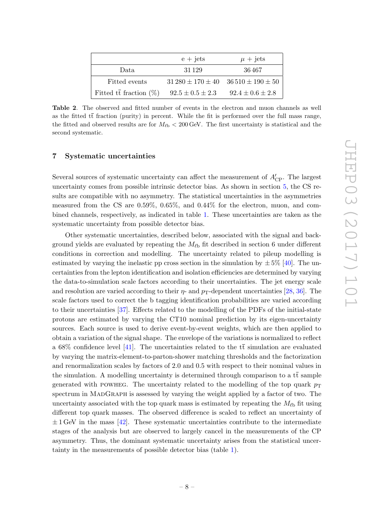|                                   | $e + jets$                                        | $\mu$ + jets           |
|-----------------------------------|---------------------------------------------------|------------------------|
| Data.                             | 31 1 29                                           | 36 467                 |
| Fitted events                     | $31\,280 \pm 170 \pm 40$ $36\,510 \pm 190 \pm 50$ |                        |
| Fitted $t\bar{t}$ fraction $(\%)$ | $92.5 \pm 0.5 \pm 2.3$                            | $92.4 \pm 0.6 \pm 2.8$ |

<span id="page-8-1"></span>Table 2. The observed and fitted number of events in the electron and muon channels as well as the fitted  $t\bar{t}$  fraction (purity) in percent. While the fit is performed over the full mass range, the fitted and observed results are for  $M_{\ell_{\rm b}} < 200 \,\text{GeV}$ . The first uncertainty is statistical and the second systematic.

## <span id="page-8-0"></span>7 Systematic uncertainties

Several sources of systematic uncertainty can affect the measurement of  $A'_{\rm CP}$ . The largest uncertainty comes from possible intrinsic detector bias. As shown in section [5,](#page-5-0) the CS results are compatible with no asymmetry. The statistical uncertainties in the asymmetries measured from the CS are 0.59%, 0.65%, and 0.44% for the electron, muon, and combined channels, respectively, as indicated in table [1.](#page-7-0) These uncertainties are taken as the systematic uncertainty from possible detector bias.

Other systematic uncertainties, described below, associated with the signal and background yields are evaluated by repeating the  $M_{\ell b}$  fit described in section 6 under different conditions in correction and modelling. The uncertainty related to pileup modelling is estimated by varying the inelastic pp cross section in the simulation by  $\pm 5\%$  [\[40\]](#page-15-16). The uncertainties from the lepton identification and isolation efficiencies are determined by varying the data-to-simulation scale factors according to their uncertainties. The jet energy scale and resolution are varied according to their  $\eta$ - and  $p_T$ -dependent uncertainties [\[28,](#page-15-4) [36\]](#page-15-12). The scale factors used to correct the b tagging identification probabilities are varied according to their uncertainties [\[37\]](#page-15-13). Effects related to the modelling of the PDFs of the initial-state protons are estimated by varying the CT10 nominal prediction by its eigen-uncertainty sources. Each source is used to derive event-by-event weights, which are then applied to obtain a variation of the signal shape. The envelope of the variations is normalized to reflect a 68% confidence level [\[41\]](#page-15-17). The uncertainties related to the  $t\bar{t}$  simulation are evaluated by varying the matrix-element-to-parton-shower matching thresholds and the factorization and renormalization scales by factors of 2.0 and 0.5 with respect to their nominal values in the simulation. A modelling uncertainty is determined through comparison to a  $t\bar{t}$  sample generated with POWHEG. The uncertainty related to the modelling of the top quark  $p_T$ spectrum in MadGraph is assessed by varying the weight applied by a factor of two. The uncertainty associated with the top quark mass is estimated by repeating the  $M_{\ell_{\rm D}}$  fit using different top quark masses. The observed difference is scaled to reflect an uncertainty of  $\pm 1$  GeV in the mass [\[42\]](#page-15-18). These systematic uncertainties contribute to the intermediate stages of the analysis but are observed to largely cancel in the measurements of the CP asymmetry. Thus, the dominant systematic uncertainty arises from the statistical uncertainty in the measurements of possible detector bias (table [1\)](#page-7-0).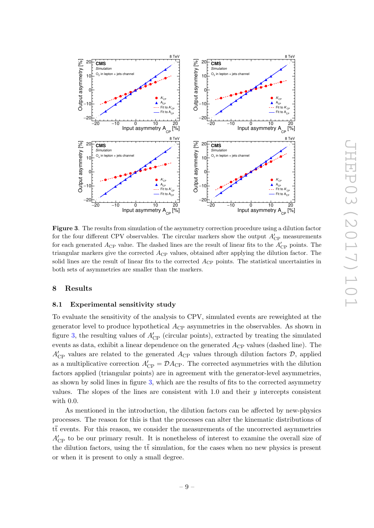

<span id="page-9-2"></span>Figure 3. The results from simulation of the asymmetry correction procedure using a dilution factor for the four different CPV observables. The circular markers show the output  $A'_{\rm CP}$  measurements for each generated  $A_{\rm CP}$  value. The dashed lines are the result of linear fits to the  $A'_{\rm CP}$  points. The triangular markers give the corrected  $A_{\text{CP}}$  values, obtained after applying the dilution factor. The solid lines are the result of linear fits to the corrected  $A_{\rm CP}$  points. The statistical uncertainties in both sets of asymmetries are smaller than the markers.

## <span id="page-9-0"></span>8 Results

### <span id="page-9-1"></span>8.1 Experimental sensitivity study

To evaluate the sensitivity of the analysis to CPV, simulated events are reweighted at the generator level to produce hypothetical  $A_{\text{CP}}$  asymmetries in the observables. As shown in figure [3,](#page-9-2) the resulting values of  $A_{\rm CP}'$  (circular points), extracted by treating the simulated events as data, exhibit a linear dependence on the generated  $A_{\rm CP}$  values (dashed line). The  $A'_{\rm CP}$  values are related to the generated  $A_{\rm CP}$  values through dilution factors  $\mathcal{D}$ , applied as a multiplicative correction  $A'_{\rm CP} = {\mathcal D} A_{\rm CP}$ . The corrected asymmetries with the dilution factors applied (triangular points) are in agreement with the generator-level asymmetries, as shown by solid lines in figure [3,](#page-9-2) which are the results of fits to the corrected asymmetry values. The slopes of the lines are consistent with  $1.0$  and their  $y$  intercepts consistent with 0.0.

As mentioned in the introduction, the dilution factors can be affected by new-physics processes. The reason for this is that the processes can alter the kinematic distributions of  $t\bar{t}$  events. For this reason, we consider the measurements of the uncorrected asymmetries  $A'_{\rm CP}$  to be our primary result. It is nonetheless of interest to examine the overall size of the dilution factors, using the  $t\bar{t}$  simulation, for the cases when no new physics is present or when it is present to only a small degree.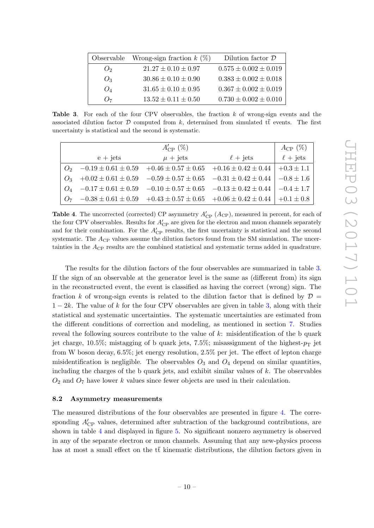<span id="page-10-1"></span>**Table 3.** For each of the four CPV observables, the fraction  $k$  of wrong-sign events and the associated dilution factor  $\mathcal D$  computed from k, determined from simulated  $t\bar{t}$  events. The first uncertainty is statistical and the second is systematic.

|                                                                                                    | $A'_{CP}$ (%) |               | $A_{\rm CP}$ (%) |
|----------------------------------------------------------------------------------------------------|---------------|---------------|------------------|
| $e + jets$                                                                                         | $\mu$ + jets  | $\ell$ + jets | $\ell$ + jets    |
| $O_2$ $-0.19 \pm 0.61 \pm 0.59$ $+0.46 \pm 0.57 \pm 0.65$ $+0.16 \pm 0.42 \pm 0.44$                |               |               | $+0.3 \pm 1.1$   |
| $O_3$ +0.02 ± 0.61 ± 0.59 -0.59 ± 0.57 ± 0.65 -0.31 ± 0.42 ± 0.44                                  |               |               | $-0.8 \pm 1.6$   |
| $O_4$ $-0.17 \pm 0.61 \pm 0.59$ $-0.10 \pm 0.57 \pm 0.65$ $-0.13 \pm 0.42 \pm 0.44$ $-0.4 \pm 1.7$ |               |               |                  |
| $O_7$ $-0.38 \pm 0.61 \pm 0.59$ $+0.43 \pm 0.57 \pm 0.65$ $+0.06 \pm 0.42 \pm 0.44$ $+0.1 \pm 0.8$ |               |               |                  |

<span id="page-10-2"></span>**Table 4.** The uncorrected (corrected) CP asymmetry  $A'_{\text{CP}}$  ( $A_{\text{CP}}$ ), measured in percent, for each of the four CPV observables. Results for  $A'_{\rm CP}$  are given for the electron and muon channels separately and for their combination. For the  $A_{\rm CP}'$  results, the first uncertainty is statistical and the second systematic. The  $A_{\rm CP}$  values assume the dilution factors found from the SM simulation. The uncertainties in the ACP results are the combined statistical and systematic terms added in quadrature.

The results for the dilution factors of the four observables are summarized in table [3.](#page-10-1) If the sign of an observable at the generator level is the same as (different from) its sign in the reconstructed event, the event is classified as having the correct (wrong) sign. The fraction k of wrong-sign events is related to the dilution factor that is defined by  $\mathcal{D} =$  $1-2k$ . The value of k for the four CPV observables are given in table [3,](#page-10-1) along with their statistical and systematic uncertainties. The systematic uncertainties are estimated from the different conditions of correction and modeling, as mentioned in section [7.](#page-8-0) Studies reveal the following sources contribute to the value of  $k$ : misidentification of the b quark jet charge, 10.5%; mistagging of b quark jets, 7.5%; misassignment of the highest- $p_T$  jet from W boson decay, 6.5%; jet energy resolution, 2.5% per jet. The effect of lepton charge misidentification is negligible. The observables  $O_3$  and  $O_4$  depend on similar quantities, including the charges of the b quark jets, and exhibit similar values of  $k$ . The observables  $O_2$  and  $O_7$  have lower k values since fewer objects are used in their calculation.

### <span id="page-10-0"></span>8.2 Asymmetry measurements

The measured distributions of the four observables are presented in figure [4.](#page-11-1) The corresponding  $A'_{\text{CP}}$  values, determined after subtraction of the background contributions, are shown in table [4](#page-10-2) and displayed in figure [5.](#page-12-0) No significant nonzero asymmetry is observed in any of the separate electron or muon channels. Assuming that any new-physics process has at most a small effect on the  $t\bar{t}$  kinematic distributions, the dilution factors given in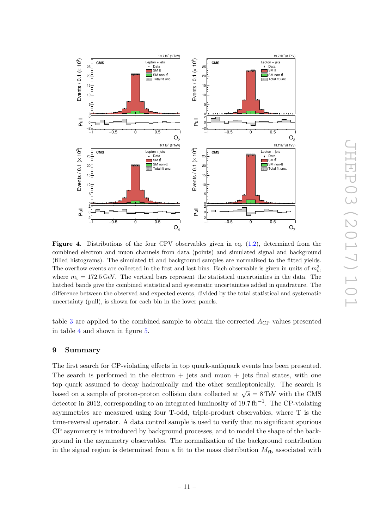

<span id="page-11-1"></span>Figure 4. Distributions of the four CPV observables given in eq. [\(1.2\)](#page-2-1), determined from the combined electron and muon channels from data (points) and simulated signal and background (filled histograms). The simulated  $t\bar{t}$  and background samples are normalized to the fitted yields. The overflow events are collected in the first and last bins. Each observable is given in units of  $m_t^3$ , where  $m_t = 172.5 \text{ GeV}$ . The vertical bars represent the statistical uncertainties in the data. The hatched bands give the combined statistical and systematic uncertainties added in quadrature. The difference between the observed and expected events, divided by the total statistical and systematic uncertainty (pull), is shown for each bin in the lower panels.

table [3](#page-10-1) are applied to the combined sample to obtain the corrected  $A_{\rm CP}$  values presented in table [4](#page-10-2) and shown in figure [5.](#page-12-0)

## <span id="page-11-0"></span>9 Summary

The first search for CP-violating effects in top quark-antiquark events has been presented. The search is performed in the electron  $+$  jets and muon  $+$  jets final states, with one top quark assumed to decay hadronically and the other semileptonically. The search is based on a sample of proton-proton collision data collected at  $\sqrt{s} = 8$  TeV with the CMS detector in 2012, corresponding to an integrated luminosity of 19.7 fb<sup>-1</sup>. The CP-violating asymmetries are measured using four T-odd, triple-product observables, where T is the time-reversal operator. A data control sample is used to verify that no significant spurious CP asymmetry is introduced by background processes, and to model the shape of the background in the asymmetry observables. The normalization of the background contribution in the signal region is determined from a fit to the mass distribution  $M_{\ell_{\rm b}}$  associated with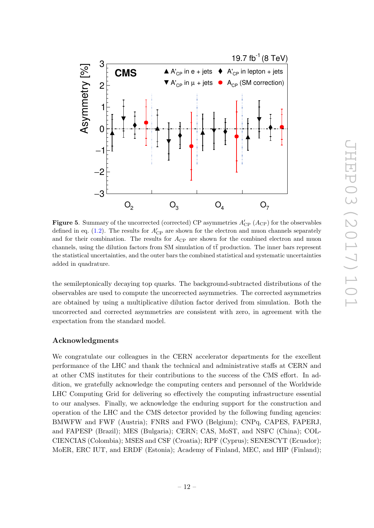

<span id="page-12-0"></span>**Figure 5.** Summary of the uncorrected (corrected) CP asymmetries  $A'_{\text{CP}}(A_{\text{CP}})$  for the observables defined in eq. [\(1.2\)](#page-2-1). The results for  $A_{\rm CP}^{\prime}$  are shown for the electron and muon channels separately and for their combination. The results for  $A_{\text{CP}}$  are shown for the combined electron and muon channels, using the dilution factors from SM simulation of  $t\bar{t}$  production. The inner bars represent the statistical uncertainties, and the outer bars the combined statistical and systematic uncertainties added in quadrature.

the semileptonically decaying top quarks. The background-subtracted distributions of the observables are used to compute the uncorrected asymmetries. The corrected asymmetries are obtained by using a multiplicative dilution factor derived from simulation. Both the uncorrected and corrected asymmetries are consistent with zero, in agreement with the expectation from the standard model.

## Acknowledgments

We congratulate our colleagues in the CERN accelerator departments for the excellent performance of the LHC and thank the technical and administrative staffs at CERN and at other CMS institutes for their contributions to the success of the CMS effort. In addition, we gratefully acknowledge the computing centers and personnel of the Worldwide LHC Computing Grid for delivering so effectively the computing infrastructure essential to our analyses. Finally, we acknowledge the enduring support for the construction and operation of the LHC and the CMS detector provided by the following funding agencies: BMWFW and FWF (Austria); FNRS and FWO (Belgium); CNPq, CAPES, FAPERJ, and FAPESP (Brazil); MES (Bulgaria); CERN; CAS, MoST, and NSFC (China); COL-CIENCIAS (Colombia); MSES and CSF (Croatia); RPF (Cyprus); SENESCYT (Ecuador); MoER, ERC IUT, and ERDF (Estonia); Academy of Finland, MEC, and HIP (Finland);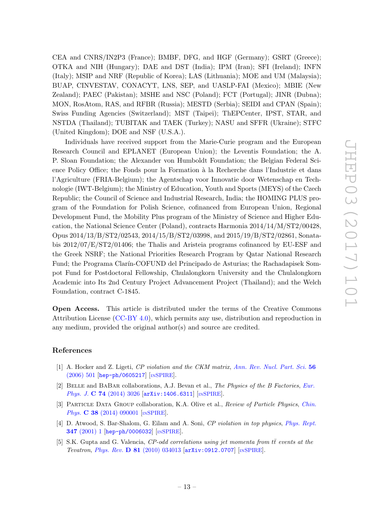CEA and CNRS/IN2P3 (France); BMBF, DFG, and HGF (Germany); GSRT (Greece); OTKA and NIH (Hungary); DAE and DST (India); IPM (Iran); SFI (Ireland); INFN (Italy); MSIP and NRF (Republic of Korea); LAS (Lithuania); MOE and UM (Malaysia); BUAP, CINVESTAV, CONACYT, LNS, SEP, and UASLP-FAI (Mexico); MBIE (New Zealand); PAEC (Pakistan); MSHE and NSC (Poland); FCT (Portugal); JINR (Dubna); MON, RosAtom, RAS, and RFBR (Russia); MESTD (Serbia); SEIDI and CPAN (Spain); Swiss Funding Agencies (Switzerland); MST (Taipei); ThEPCenter, IPST, STAR, and NSTDA (Thailand); TUBITAK and TAEK (Turkey); NASU and SFFR (Ukraine); STFC (United Kingdom); DOE and NSF (U.S.A.).

Individuals have received support from the Marie-Curie program and the European Research Council and EPLANET (European Union); the Leventis Foundation; the A. P. Sloan Foundation; the Alexander von Humboldt Foundation; the Belgian Federal Science Policy Office; the Fonds pour la Formation à la Recherche dans l'Industrie et dans l'Agriculture (FRIA-Belgium); the Agentschap voor Innovatie door Wetenschap en Technologie (IWT-Belgium); the Ministry of Education, Youth and Sports (MEYS) of the Czech Republic; the Council of Science and Industrial Research, India; the HOMING PLUS program of the Foundation for Polish Science, cofinanced from European Union, Regional Development Fund, the Mobility Plus program of the Ministry of Science and Higher Education, the National Science Center (Poland), contracts Harmonia 2014/14/M/ST2/00428, Opus 2014/13/B/ST2/02543, 2014/15/B/ST2/03998, and 2015/19/B/ST2/02861, Sonatabis 2012/07/E/ST2/01406; the Thalis and Aristeia programs cofinanced by EU-ESF and the Greek NSRF; the National Priorities Research Program by Qatar National Research Fund; the Programa Clarín-COFUND del Principado de Asturias; the Rachadapisek Sompot Fund for Postdoctoral Fellowship, Chulalongkorn University and the Chulalongkorn Academic into Its 2nd Century Project Advancement Project (Thailand); and the Welch Foundation, contract C-1845.

Open Access. This article is distributed under the terms of the Creative Commons Attribution License [\(CC-BY 4.0\)](http://creativecommons.org/licenses/by/4.0/), which permits any use, distribution and reproduction in any medium, provided the original author(s) and source are credited.

## References

- <span id="page-13-0"></span>[1] A. Hocker and Z. Ligeti, CP violation and the CKM matrix, [Ann. Rev. Nucl. Part. Sci.](http://dx.doi.org/10.1146/annurev.nucl.56.080805.140456) 56 [\(2006\) 501](http://dx.doi.org/10.1146/annurev.nucl.56.080805.140456) [[hep-ph/0605217](https://arxiv.org/abs/hep-ph/0605217)] [IN[SPIRE](http://inspirehep.net/search?p=find+EPRINT+hep-ph/0605217)].
- <span id="page-13-1"></span>[2] Belle and BaBar collaborations, A.J. Bevan et al., The Physics of the B Factories, [Eur.](http://dx.doi.org/10.1140/epjc/s10052-014-3026-9) Phys. J. C 74 [\(2014\) 3026](http://dx.doi.org/10.1140/epjc/s10052-014-3026-9) [[arXiv:1406.6311](https://arxiv.org/abs/1406.6311)] [IN[SPIRE](http://inspirehep.net/search?p=find+EPRINT+arXiv:1406.6311)].
- <span id="page-13-2"></span>[3] PARTICLE DATA GROUP collaboration, K.A. Olive et al., *Review of Particle Physics, [Chin.](http://dx.doi.org/10.1088/1674-1137/38/9/090001)* Phys. **C 38** [\(2014\) 090001](http://dx.doi.org/10.1088/1674-1137/38/9/090001) [IN[SPIRE](http://inspirehep.net/search?p=find+J+%22Chin.Phys.,C38,090001%22)].
- <span id="page-13-3"></span>[4] D. Atwood, S. Bar-Shalom, G. Eilam and A. Soni, CP violation in top physics, [Phys. Rept.](http://dx.doi.org/10.1016/S0370-1573(00)00112-5) 347 [\(2001\) 1](http://dx.doi.org/10.1016/S0370-1573(00)00112-5) [[hep-ph/0006032](https://arxiv.org/abs/hep-ph/0006032)] [IN[SPIRE](http://inspirehep.net/search?p=find+EPRINT+hep-ph/0006032)].
- <span id="page-13-4"></span>[5] S.K. Gupta and G. Valencia, CP-odd correlations using jet momenta from  $t\bar{t}$  events at the Tevatron, Phys. Rev. D 81 [\(2010\) 034013](http://dx.doi.org/10.1103/PhysRevD.81.034013) [[arXiv:0912.0707](https://arxiv.org/abs/0912.0707)] [IN[SPIRE](http://inspirehep.net/search?p=find+EPRINT+arXiv:0912.0707)].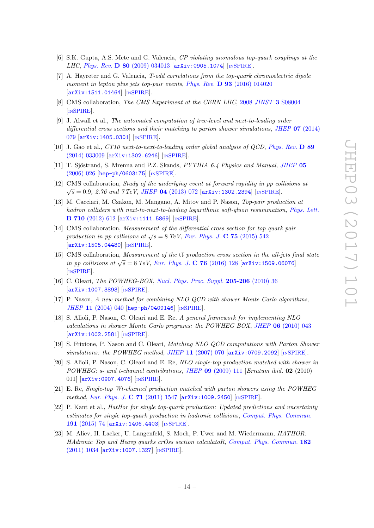- <span id="page-14-0"></span>[6] S.K. Gupta, A.S. Mete and G. Valencia, CP violating anomalous top-quark couplings at the LHC, Phys. Rev. D 80 [\(2009\) 034013](http://dx.doi.org/10.1103/PhysRevD.80.034013) [[arXiv:0905.1074](https://arxiv.org/abs/0905.1074)] [IN[SPIRE](http://inspirehep.net/search?p=find+EPRINT+arXiv:0905.1074)].
- <span id="page-14-1"></span>[7] A. Hayreter and G. Valencia, T-odd correlations from the top-quark chromoelectric dipole moment in lepton plus jets top-pair events, Phys. Rev.  $\bf{D}$  93 [\(2016\) 014020](http://dx.doi.org/10.1103/PhysRevD.93.014020) [[arXiv:1511.01464](https://arxiv.org/abs/1511.01464)] [IN[SPIRE](http://inspirehep.net/search?p=find+EPRINT+arXiv:1511.01464)].
- <span id="page-14-2"></span>[8] CMS collaboration, *The CMS Experiment at the CERN LHC*, 2008 *JINST* 3 [S08004](http://dx.doi.org/10.1088/1748-0221/3/08/S08004) [IN[SPIRE](http://inspirehep.net/search?p=find+J+%22JINST,3,S08004%22)].
- <span id="page-14-3"></span>[9] J. Alwall et al., The automated computation of tree-level and next-to-leading order differential cross sections and their matching to parton shower simulations, JHEP 07 [\(2014\)](http://dx.doi.org/10.1007/JHEP07(2014)079) [079](http://dx.doi.org/10.1007/JHEP07(2014)079) [[arXiv:1405.0301](https://arxiv.org/abs/1405.0301)] [IN[SPIRE](http://inspirehep.net/search?p=find+EPRINT+arXiv:1405.0301)].
- <span id="page-14-4"></span>[10] J. Gao et al., CT10 next-to-next-to-leading order global analysis of QCD, [Phys. Rev.](http://dx.doi.org/10.1103/PhysRevD.89.033009) D 89 [\(2014\) 033009](http://dx.doi.org/10.1103/PhysRevD.89.033009) [[arXiv:1302.6246](https://arxiv.org/abs/1302.6246)] [IN[SPIRE](http://inspirehep.net/search?p=find+EPRINT+arXiv:1302.6246)].
- <span id="page-14-5"></span>[11] T. Sjöstrand, S. Mrenna and P.Z. Skands, *PYTHIA 6.4 Physics and Manual, [JHEP](http://dx.doi.org/10.1088/1126-6708/2006/05/026)* 05 [\(2006\) 026](http://dx.doi.org/10.1088/1126-6708/2006/05/026) [[hep-ph/0603175](https://arxiv.org/abs/hep-ph/0603175)] [IN[SPIRE](http://inspirehep.net/search?p=find+EPRINT+hep-ph/0603175)].
- <span id="page-14-6"></span>[12] CMS collaboration, *Study of the underlying event at forward rapidity in pp collisions at*  $\sqrt{s} = 0.9$ , 2.76 and 7 TeV, JHEP 04 [\(2013\) 072](http://dx.doi.org/10.1007/JHEP04(2013)072) [[arXiv:1302.2394](https://arxiv.org/abs/1302.2394)] [IN[SPIRE](http://inspirehep.net/search?p=find+EPRINT+arXiv:1302.2394)].
- <span id="page-14-7"></span>[13] M. Cacciari, M. Czakon, M. Mangano, A. Mitov and P. Nason, Top-pair production at hadron colliders with next-to-next-to-leading logarithmic soft-gluon resummation, [Phys. Lett.](http://dx.doi.org/10.1016/j.physletb.2012.03.013) B 710 [\(2012\) 612](http://dx.doi.org/10.1016/j.physletb.2012.03.013) [[arXiv:1111.5869](https://arxiv.org/abs/1111.5869)] [IN[SPIRE](http://inspirehep.net/search?p=find+EPRINT+arXiv:1111.5869)].
- <span id="page-14-8"></span>[14] CMS collaboration, Measurement of the differential cross section for top quark pair production in pp collisions at  $\sqrt{s} = 8$  TeV, [Eur. Phys. J.](http://dx.doi.org/10.1140/epjc/s10052-015-3709-x) C 75 (2015) 542 [[arXiv:1505.04480](https://arxiv.org/abs/1505.04480)] [IN[SPIRE](http://inspirehep.net/search?p=find+EPRINT+arXiv:1505.04480)].
- <span id="page-14-9"></span>[15] CMS collaboration, *Measurement of the*  $t\bar{t}$  production cross section in the all-jets final state in pp collisions at  $\sqrt{s} = 8 \text{ TeV}$ , [Eur. Phys. J.](http://dx.doi.org/10.1140/epjc/s10052-016-3956-5) C 76 (2016) 128 [[arXiv:1509.06076](https://arxiv.org/abs/1509.06076)] [IN[SPIRE](http://inspirehep.net/search?p=find+EPRINT+arXiv:1509.06076)].
- <span id="page-14-10"></span>[16] C. Oleari, *The POWHEG-BOX, [Nucl. Phys. Proc. Suppl.](http://dx.doi.org/10.1016/j.nuclphysBPS.2010.08.016)* **205-206** (2010) 36 [[arXiv:1007.3893](https://arxiv.org/abs/1007.3893)] [IN[SPIRE](http://inspirehep.net/search?p=find+EPRINT+arXiv:1007.3893)].
- [17] P. Nason, A new method for combining NLO QCD with shower Monte Carlo algorithms, JHEP 11 [\(2004\) 040](http://dx.doi.org/10.1088/1126-6708/2004/11/040) [[hep-ph/0409146](https://arxiv.org/abs/hep-ph/0409146)] [IN[SPIRE](http://inspirehep.net/search?p=find+EPRINT+hep-ph/0409146)].
- [18] S. Alioli, P. Nason, C. Oleari and E. Re, A general framework for implementing NLO calculations in shower Monte Carlo programs: the POWHEG BOX, JHEP 06 [\(2010\) 043](http://dx.doi.org/10.1007/JHEP06(2010)043) [[arXiv:1002.2581](https://arxiv.org/abs/1002.2581)] [IN[SPIRE](http://inspirehep.net/search?p=find+EPRINT+arXiv:1002.2581)].
- [19] S. Frixione, P. Nason and C. Oleari, Matching NLO QCD computations with Parton Shower simulations: the POWHEG method, JHEP 11 [\(2007\) 070](http://dx.doi.org/10.1088/1126-6708/2007/11/070) [[arXiv:0709.2092](https://arxiv.org/abs/0709.2092)] [IN[SPIRE](http://inspirehep.net/search?p=find+EPRINT+arXiv:0709.2092)].
- [20] S. Alioli, P. Nason, C. Oleari and E. Re, NLO single-top production matched with shower in POWHEG: s- and t-channel contributions, JHEP 09 [\(2009\) 111](http://dx.doi.org/10.1088/1126-6708/2009/09/111) [Erratum ibid. 02 (2010) 011] [[arXiv:0907.4076](https://arxiv.org/abs/0907.4076)] [IN[SPIRE](http://inspirehep.net/search?p=find+EPRINT+arXiv:0907.4076)].
- <span id="page-14-11"></span>[21] E. Re, Single-top Wt-channel production matched with parton showers using the POWHEG method, [Eur. Phys. J.](http://dx.doi.org/10.1140/epjc/s10052-011-1547-z) C 71 (2011) 1547 [[arXiv:1009.2450](https://arxiv.org/abs/1009.2450)] [IN[SPIRE](http://inspirehep.net/search?p=find+EPRINT+arXiv:1009.2450)].
- <span id="page-14-12"></span>[22] P. Kant et al., HatHor for single top-quark production: Updated predictions and uncertainty estimates for single top-quark production in hadronic collisions, [Comput. Phys. Commun.](http://dx.doi.org/10.1016/j.cpc.2015.02.001) 191 [\(2015\) 74](http://dx.doi.org/10.1016/j.cpc.2015.02.001) [[arXiv:1406.4403](https://arxiv.org/abs/1406.4403)] [IN[SPIRE](http://inspirehep.net/search?p=find+EPRINT+arXiv:1406.4403)].
- <span id="page-14-13"></span>[23] M. Aliev, H. Lacker, U. Langenfeld, S. Moch, P. Uwer and M. Wiedermann, HATHOR: HAdronic Top and Heavy quarks crOss section calculatoR, [Comput. Phys. Commun.](http://dx.doi.org/10.1016/j.cpc.2010.12.040) 182 [\(2011\) 1034](http://dx.doi.org/10.1016/j.cpc.2010.12.040) [[arXiv:1007.1327](https://arxiv.org/abs/1007.1327)] [IN[SPIRE](http://inspirehep.net/search?p=find+EPRINT+arXiv:1007.1327)].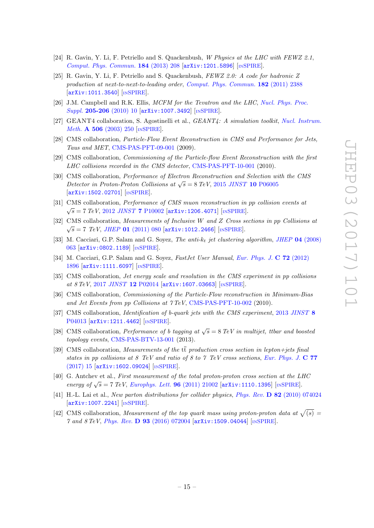- <span id="page-15-0"></span>[24] R. Gavin, Y. Li, F. Petriello and S. Quackenbush, W Physics at the LHC with FEWZ 2.1, [Comput. Phys. Commun.](http://dx.doi.org/10.1016/j.cpc.2012.09.005) 184 (2013) 208 [[arXiv:1201.5896](https://arxiv.org/abs/1201.5896)] [IN[SPIRE](http://inspirehep.net/search?p=find+EPRINT+arXiv:1201.5896)].
- <span id="page-15-1"></span>[25] R. Gavin, Y. Li, F. Petriello and S. Quackenbush, FEWZ 2.0: A code for hadronic Z production at next-to-next-to-leading order, [Comput. Phys. Commun.](http://dx.doi.org/10.1016/j.cpc.2011.06.008) 182 (2011) 2388 [[arXiv:1011.3540](https://arxiv.org/abs/1011.3540)] [IN[SPIRE](http://inspirehep.net/search?p=find+EPRINT+arXiv:1011.3540)].
- <span id="page-15-2"></span>[26] J.M. Campbell and R.K. Ellis, MCFM for the Tevatron and the LHC, [Nucl. Phys. Proc.](http://dx.doi.org/10.1016/j.nuclphysBPS.2010.08.011) Suppl. 205-206 [\(2010\) 10](http://dx.doi.org/10.1016/j.nuclphysBPS.2010.08.011) [[arXiv:1007.3492](https://arxiv.org/abs/1007.3492)] [IN[SPIRE](http://inspirehep.net/search?p=find+EPRINT+arXiv:1007.3492)].
- <span id="page-15-3"></span>[27] GEANT4 collaboration, S. Agostinelli et al., GEANT4: A simulation toolkit, [Nucl. Instrum.](http://dx.doi.org/10.1016/S0168-9002(03)01368-8) Meth. A 506 [\(2003\) 250](http://dx.doi.org/10.1016/S0168-9002(03)01368-8) [IN[SPIRE](http://inspirehep.net/search?p=find+J+%22Nucl.Instrum.Meth.,A506,250%22)].
- <span id="page-15-4"></span>[28] CMS collaboration, Particle-Flow Event Reconstruction in CMS and Performance for Jets, Taus and MET, [CMS-PAS-PFT-09-001](http://cds.cern.ch/record/1194487) (2009).
- <span id="page-15-5"></span>[29] CMS collaboration, Commissioning of the Particle-flow Event Reconstruction with the first LHC collisions recorded in the CMS detector, [CMS-PAS-PFT-10-001](http://cds.cern.ch/record/1247373) (2010).
- <span id="page-15-6"></span>[30] CMS collaboration, Performance of Electron Reconstruction and Selection with the CMS Detector in Proton-Proton Collisions at  $\sqrt{s} = 8$  TeV, 2015 JINST 10 [P06005](http://dx.doi.org/10.1088/1748-0221/10/06/P06005) [[arXiv:1502.02701](https://arxiv.org/abs/1502.02701)] [IN[SPIRE](http://inspirehep.net/search?p=find+EPRINT+arXiv:1502.02701)].
- <span id="page-15-7"></span>[31] CMS collaboration, *Performance of CMS muon reconstruction in pp collision events at*  $\sqrt{s} = 7 \text{ TeV}, 2012 \text{ JINST } 7 \text{ P10002}$  $\sqrt{s} = 7 \text{ TeV}, 2012 \text{ JINST } 7 \text{ P10002}$  $\sqrt{s} = 7 \text{ TeV}, 2012 \text{ JINST } 7 \text{ P10002}$  [[arXiv:1206.4071](https://arxiv.org/abs/1206.4071)] [IN[SPIRE](http://inspirehep.net/search?p=find+J+%22JINST,7,P10002%22)].
- <span id="page-15-8"></span>[32] CMS collaboration, Measurements of Inclusive W and Z Cross sections in pp Collisions at  $\sqrt{s}$  = 7 TeV, JHEP 01 [\(2011\) 080](http://dx.doi.org/10.1007/JHEP01(2011)080) [[arXiv:1012.2466](https://arxiv.org/abs/1012.2466)] [IN[SPIRE](http://inspirehep.net/search?p=find+EPRINT+arXiv:1012.2466)].
- <span id="page-15-9"></span>[33] M. Cacciari, G.P. Salam and G. Soyez, The anti- $k_t$  jet clustering algorithm, JHEP 04 [\(2008\)](http://dx.doi.org/10.1088/1126-6708/2008/04/063) [063](http://dx.doi.org/10.1088/1126-6708/2008/04/063) [[arXiv:0802.1189](https://arxiv.org/abs/0802.1189)] [IN[SPIRE](http://inspirehep.net/search?p=find+EPRINT+arXiv:0802.1189)].
- <span id="page-15-10"></span>[34] M. Cacciari, G.P. Salam and G. Soyez, FastJet User Manual, [Eur. Phys. J.](http://dx.doi.org/10.1140/epjc/s10052-012-1896-2) **C 72** (2012) [1896](http://dx.doi.org/10.1140/epjc/s10052-012-1896-2) [[arXiv:1111.6097](https://arxiv.org/abs/1111.6097)] [IN[SPIRE](http://inspirehep.net/search?p=find+EPRINT+arXiv:1111.6097)].
- <span id="page-15-11"></span>[35] CMS collaboration, Jet energy scale and resolution in the CMS experiment in pp collisions at 8 TeV, 2017 JINST 12 [P02014](http://dx.doi.org/10.1088/1748-0221/12/02/P02014) [[arXiv:1607.03663](https://arxiv.org/abs/1607.03663)] [IN[SPIRE](http://inspirehep.net/search?p=find+EPRINT+arXiv:1607.03663)].
- <span id="page-15-12"></span>[36] CMS collaboration, Commissioning of the Particle-Flow reconstruction in Minimum-Bias and Jet Events from pp Collisions at 7 TeV, [CMS-PAS-PFT-10-002](http://cds.cern.ch/record/1279341) (2010).
- <span id="page-15-13"></span>[37] CMS collaboration, *Identification of b-quark jets with the CMS experiment*, 2013 *[JINST](http://dx.doi.org/10.1088/1748-0221/8/04/P04013)* 8 [P04013](http://dx.doi.org/10.1088/1748-0221/8/04/P04013) [[arXiv:1211.4462](https://arxiv.org/abs/1211.4462)] [IN[SPIRE](http://inspirehep.net/search?p=find+EPRINT+arXiv:1211.4462)].
- <span id="page-15-14"></span>[38] CMS collaboration, *Performance of b tagging at*  $\sqrt{s} = 8$  TeV in multijet, ttbar and boosted topology events, [CMS-PAS-BTV-13-001](http://cds.cern.ch/record/1581306) (2013).
- <span id="page-15-15"></span>[39] CMS collaboration, *Measurements of the*  $t\bar{t}$  production cross section in lepton+jets final states in pp collisions at 8 TeV and ratio of 8 to 7 TeV cross sections, [Eur. Phys. J.](http://dx.doi.org/10.1140/epjc/s10052-016-4504-z)  $\bf{C}$  77 [\(2017\) 15](http://dx.doi.org/10.1140/epjc/s10052-016-4504-z) [[arXiv:1602.09024](https://arxiv.org/abs/1602.09024)] [IN[SPIRE](http://inspirehep.net/search?p=find+EPRINT+arXiv:1602.09024)].
- <span id="page-15-16"></span>[40] G. Antchev et al., First measurement of the total proton-proton cross section at the LHC energy of  $\sqrt{s} = 7$  TeV, [Europhys. Lett.](http://dx.doi.org/10.1209/0295-5075/96/21002) 96 (2011) 21002 [[arXiv:1110.1395](https://arxiv.org/abs/1110.1395)] [IN[SPIRE](http://inspirehep.net/search?p=find+EPRINT+arXiv:1110.1395)].
- <span id="page-15-17"></span>[41] H.-L. Lai et al., New parton distributions for collider physics, Phys. Rev. D 82 [\(2010\) 074024](http://dx.doi.org/10.1103/PhysRevD.82.074024) [[arXiv:1007.2241](https://arxiv.org/abs/1007.2241)] [IN[SPIRE](http://inspirehep.net/search?p=find+EPRINT+arXiv:1007.2241)].
- <span id="page-15-18"></span>[42] CMS collaboration, Measurement of the top quark mass using proton-proton data at  $\sqrt{(s)}$  = 7 and 8 TeV, Phys. Rev. D 93 [\(2016\) 072004](http://dx.doi.org/10.1103/PhysRevD.93.072004) [[arXiv:1509.04044](https://arxiv.org/abs/1509.04044)] [IN[SPIRE](http://inspirehep.net/search?p=find+EPRINT+arXiv:1509.04044)].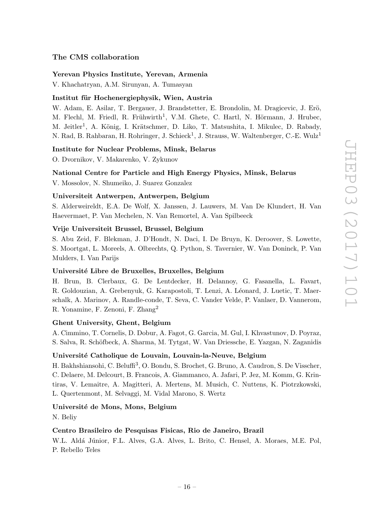## The CMS collaboration

### <span id="page-16-0"></span>Yerevan Physics Institute, Yerevan, Armenia

V. Khachatryan, A.M. Sirunyan, A. Tumasyan

#### Institut für Hochenergiephysik, Wien, Austria

W. Adam, E. Asilar, T. Bergauer, J. Brandstetter, E. Brondolin, M. Dragicevic, J. Erö, M. Flechl, M. Friedl, R. Frühwirth<sup>1</sup>, V.M. Ghete, C. Hartl, N. Hörmann, J. Hrubec, M. Jeitler<sup>1</sup>, A. König, I. Krätschmer, D. Liko, T. Matsushita, I. Mikulec, D. Rabady, N. Rad, B. Rahbaran, H. Rohringer, J. Schieck<sup>1</sup>, J. Strauss, W. Waltenberger, C.-E. Wulz<sup>1</sup>

#### Institute for Nuclear Problems, Minsk, Belarus

O. Dvornikov, V. Makarenko, V. Zykunov

#### National Centre for Particle and High Energy Physics, Minsk, Belarus

V. Mossolov, N. Shumeiko, J. Suarez Gonzalez

### Universiteit Antwerpen, Antwerpen, Belgium

S. Alderweireldt, E.A. De Wolf, X. Janssen, J. Lauwers, M. Van De Klundert, H. Van Haevermaet, P. Van Mechelen, N. Van Remortel, A. Van Spilbeeck

## Vrije Universiteit Brussel, Brussel, Belgium

S. Abu Zeid, F. Blekman, J. D'Hondt, N. Daci, I. De Bruyn, K. Deroover, S. Lowette, S. Moortgat, L. Moreels, A. Olbrechts, Q. Python, S. Tavernier, W. Van Doninck, P. Van Mulders, I. Van Parijs

#### Universit´e Libre de Bruxelles, Bruxelles, Belgium

H. Brun, B. Clerbaux, G. De Lentdecker, H. Delannoy, G. Fasanella, L. Favart, R. Goldouzian, A. Grebenyuk, G. Karapostoli, T. Lenzi, A. Léonard, J. Luetic, T. Maerschalk, A. Marinov, A. Randle-conde, T. Seva, C. Vander Velde, P. Vanlaer, D. Vannerom, R. Yonamine, F. Zenoni, F. Zhang<sup>2</sup>

## Ghent University, Ghent, Belgium

A. Cimmino, T. Cornelis, D. Dobur, A. Fagot, G. Garcia, M. Gul, I. Khvastunov, D. Poyraz, S. Salva, R. Schöfbeck, A. Sharma, M. Tytgat, W. Van Driessche, E. Yazgan, N. Zaganidis

## Université Catholique de Louvain, Louvain-la-Neuve, Belgium

H. Bakhshiansohi, C. Beluffi<sup>3</sup>, O. Bondu, S. Brochet, G. Bruno, A. Caudron, S. De Visscher, C. Delaere, M. Delcourt, B. Francois, A. Giammanco, A. Jafari, P. Jez, M. Komm, G. Krintiras, V. Lemaitre, A. Magitteri, A. Mertens, M. Musich, C. Nuttens, K. Piotrzkowski, L. Quertenmont, M. Selvaggi, M. Vidal Marono, S. Wertz

### Université de Mons, Mons, Belgium

N. Beliy

#### Centro Brasileiro de Pesquisas Fisicas, Rio de Janeiro, Brazil

W.L. Aldá Júnior, F.L. Alves, G.A. Alves, L. Brito, C. Hensel, A. Moraes, M.E. Pol, P. Rebello Teles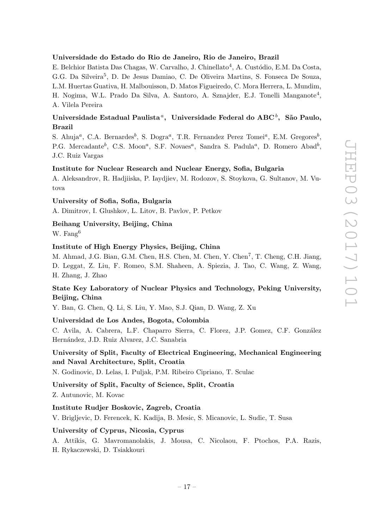#### Universidade do Estado do Rio de Janeiro, Rio de Janeiro, Brazil

E. Belchior Batista Das Chagas, W. Carvalho, J. Chinellato<sup>4</sup>, A. Custódio, E.M. Da Costa, G.G. Da Silveira<sup>5</sup>, D. De Jesus Damiao, C. De Oliveira Martins, S. Fonseca De Souza, L.M. Huertas Guativa, H. Malbouisson, D. Matos Figueiredo, C. Mora Herrera, L. Mundim, H. Nogima, W.L. Prado Da Silva, A. Santoro, A. Sznajder, E.J. Tonelli Manganote<sup>4</sup>, A. Vilela Pereira

## Universidade Estadual Paulista $^a,\;$  Universidade Federal do ABC $^b,\;$  São Paulo, Brazil

S. Ahuja<sup>a</sup>, C.A. Bernardes<sup>b</sup>, S. Dogra<sup>a</sup>, T.R. Fernandez Perez Tomei<sup>a</sup>, E.M. Gregores<sup>b</sup>, P.G. Mercadante<sup>b</sup>, C.S. Moon<sup>a</sup>, S.F. Novaes<sup>a</sup>, Sandra S. Padula<sup>a</sup>, D. Romero Abad<sup>b</sup>, J.C. Ruiz Vargas

#### Institute for Nuclear Research and Nuclear Energy, Sofia, Bulgaria

A. Aleksandrov, R. Hadjiiska, P. Iaydjiev, M. Rodozov, S. Stoykova, G. Sultanov, M. Vutova

#### University of Sofia, Sofia, Bulgaria

A. Dimitrov, I. Glushkov, L. Litov, B. Pavlov, P. Petkov

## Beihang University, Beijing, China

W. Fang<sup>6</sup>

## Institute of High Energy Physics, Beijing, China

M. Ahmad, J.G. Bian, G.M. Chen, H.S. Chen, M. Chen, Y. Chen<sup>7</sup>, T. Cheng, C.H. Jiang, D. Leggat, Z. Liu, F. Romeo, S.M. Shaheen, A. Spiezia, J. Tao, C. Wang, Z. Wang, H. Zhang, J. Zhao

## State Key Laboratory of Nuclear Physics and Technology, Peking University, Beijing, China

Y. Ban, G. Chen, Q. Li, S. Liu, Y. Mao, S.J. Qian, D. Wang, Z. Xu

### Universidad de Los Andes, Bogota, Colombia

C. Avila, A. Cabrera, L.F. Chaparro Sierra, C. Florez, J.P. Gomez, C.F. González Hernández, J.D. Ruiz Alvarez, J.C. Sanabria

## University of Split, Faculty of Electrical Engineering, Mechanical Engineering and Naval Architecture, Split, Croatia

N. Godinovic, D. Lelas, I. Puljak, P.M. Ribeiro Cipriano, T. Sculac

#### University of Split, Faculty of Science, Split, Croatia

Z. Antunovic, M. Kovac

## Institute Rudjer Boskovic, Zagreb, Croatia

V. Brigljevic, D. Ferencek, K. Kadija, B. Mesic, S. Micanovic, L. Sudic, T. Susa

#### University of Cyprus, Nicosia, Cyprus

A. Attikis, G. Mavromanolakis, J. Mousa, C. Nicolaou, F. Ptochos, P.A. Razis, H. Rykaczewski, D. Tsiakkouri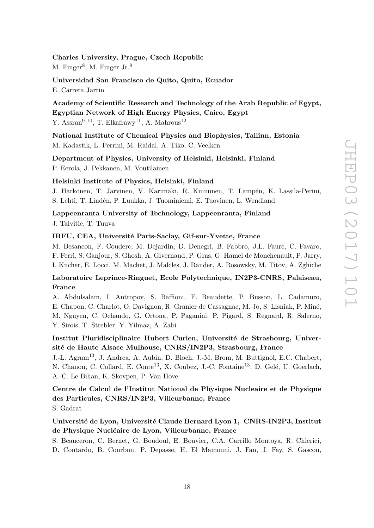## Charles University, Prague, Czech Republic

M. Finger<sup>8</sup>, M. Finger  $Jr.^8$ 

Universidad San Francisco de Quito, Quito, Ecuador E. Carrera Jarrin

Academy of Scientific Research and Technology of the Arab Republic of Egypt, Egyptian Network of High Energy Physics, Cairo, Egypt Y. Assran<sup>9,10</sup>, T. Elkafrawy<sup>11</sup>, A. Mahrous<sup>12</sup>

National Institute of Chemical Physics and Biophysics, Tallinn, Estonia M. Kadastik, L. Perrini, M. Raidal, A. Tiko, C. Veelken

Department of Physics, University of Helsinki, Helsinki, Finland

P. Eerola, J. Pekkanen, M. Voutilainen

## Helsinki Institute of Physics, Helsinki, Finland

J. Härkönen, T. Järvinen, V. Karimäki, R. Kinnunen, T. Lampén, K. Lassila-Perini, S. Lehti, T. Lind´en, P. Luukka, J. Tuominiemi, E. Tuovinen, L. Wendland

Lappeenranta University of Technology, Lappeenranta, Finland J. Talvitie, T. Tuuva

## IRFU, CEA, Université Paris-Saclay, Gif-sur-Yvette, France

M. Besancon, F. Couderc, M. Dejardin, D. Denegri, B. Fabbro, J.L. Faure, C. Favaro, F. Ferri, S. Ganjour, S. Ghosh, A. Givernaud, P. Gras, G. Hamel de Monchenault, P. Jarry, I. Kucher, E. Locci, M. Machet, J. Malcles, J. Rander, A. Rosowsky, M. Titov, A. Zghiche

## Laboratoire Leprince-Ringuet, Ecole Polytechnique, IN2P3-CNRS, Palaiseau, France

A. Abdulsalam, I. Antropov, S. Baffioni, F. Beaudette, P. Busson, L. Cadamuro, E. Chapon, C. Charlot, O. Davignon, R. Granier de Cassagnac, M. Jo, S. Lisniak, P. Miné, M. Nguyen, C. Ochando, G. Ortona, P. Paganini, P. Pigard, S. Regnard, R. Salerno, Y. Sirois, T. Strebler, Y. Yilmaz, A. Zabi

## Institut Pluridisciplinaire Hubert Curien, Université de Strasbourg, Université de Haute Alsace Mulhouse, CNRS/IN2P3, Strasbourg, France

J.-L. Agram13, J. Andrea, A. Aubin, D. Bloch, J.-M. Brom, M. Buttignol, E.C. Chabert, N. Chanon, C. Collard, E. Conte<sup>13</sup>, X. Coubez, J.-C. Fontaine<sup>13</sup>, D. Gelé, U. Goerlach, A.-C. Le Bihan, K. Skovpen, P. Van Hove

Centre de Calcul de l'Institut National de Physique Nucleaire et de Physique des Particules, CNRS/IN2P3, Villeurbanne, France S. Gadrat

## Université de Lyon, Université Claude Bernard Lyon 1, CNRS-IN2P3, Institut de Physique Nucléaire de Lyon, Villeurbanne, France

S. Beauceron, C. Bernet, G. Boudoul, E. Bouvier, C.A. Carrillo Montoya, R. Chierici, D. Contardo, B. Courbon, P. Depasse, H. El Mamouni, J. Fan, J. Fay, S. Gascon,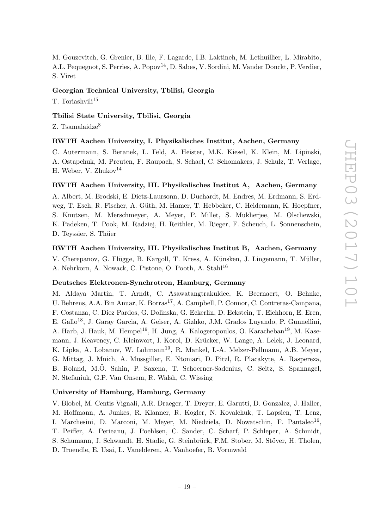M. Gouzevitch, G. Grenier, B. Ille, F. Lagarde, I.B. Laktineh, M. Lethuillier, L. Mirabito, A.L. Pequegnot, S. Perries, A. Popov<sup>14</sup>, D. Sabes, V. Sordini, M. Vander Donckt, P. Verdier, S. Viret

### Georgian Technical University, Tbilisi, Georgia

T. Toriashvili<sup>15</sup>

## Tbilisi State University, Tbilisi, Georgia

Z. Tsamalaidze<sup>8</sup>

### RWTH Aachen University, I. Physikalisches Institut, Aachen, Germany

C. Autermann, S. Beranek, L. Feld, A. Heister, M.K. Kiesel, K. Klein, M. Lipinski, A. Ostapchuk, M. Preuten, F. Raupach, S. Schael, C. Schomakers, J. Schulz, T. Verlage, H. Weber, V. Zhukov $^{14}$ 

#### RWTH Aachen University, III. Physikalisches Institut A, Aachen, Germany

A. Albert, M. Brodski, E. Dietz-Laursonn, D. Duchardt, M. Endres, M. Erdmann, S. Erdweg, T. Esch, R. Fischer, A. Güth, M. Hamer, T. Hebbeker, C. Heidemann, K. Hoepfner, S. Knutzen, M. Merschmeyer, A. Meyer, P. Millet, S. Mukherjee, M. Olschewski, K. Padeken, T. Pook, M. Radziej, H. Reithler, M. Rieger, F. Scheuch, L. Sonnenschein, D. Teyssier, S. Thüer

#### RWTH Aachen University, III. Physikalisches Institut B, Aachen, Germany

V. Cherepanov, G. Flügge, B. Kargoll, T. Kress, A. Künsken, J. Lingemann, T. Müller, A. Nehrkorn, A. Nowack, C. Pistone, O. Pooth, A. Stahl<sup>16</sup>

### Deutsches Elektronen-Synchrotron, Hamburg, Germany

M. Aldaya Martin, T. Arndt, C. Asawatangtrakuldee, K. Beernaert, O. Behnke, U. Behrens, A.A. Bin Anuar, K. Borras<sup>17</sup>, A. Campbell, P. Connor, C. Contreras-Campana, F. Costanza, C. Diez Pardos, G. Dolinska, G. Eckerlin, D. Eckstein, T. Eichhorn, E. Eren, E. Gallo<sup>18</sup>, J. Garay Garcia, A. Geiser, A. Gizhko, J.M. Grados Luyando, P. Gunnellini, A. Harb, J. Hauk, M. Hempel<sup>19</sup>, H. Jung, A. Kalogeropoulos, O. Karacheban<sup>19</sup>, M. Kasemann, J. Keaveney, C. Kleinwort, I. Korol, D. Krücker, W. Lange, A. Lelek, J. Leonard, K. Lipka, A. Lobanov, W. Lohmann<sup>19</sup>, R. Mankel, I.-A. Melzer-Pellmann, A.B. Meyer, G. Mittag, J. Mnich, A. Mussgiller, E. Ntomari, D. Pitzl, R. Placakyte, A. Raspereza, B. Roland, M.O. Sahin, P. Saxena, T. Schoerner-Sadenius, C. Seitz, S. Spannagel, ¨ N. Stefaniuk, G.P. Van Onsem, R. Walsh, C. Wissing

#### University of Hamburg, Hamburg, Germany

V. Blobel, M. Centis Vignali, A.R. Draeger, T. Dreyer, E. Garutti, D. Gonzalez, J. Haller, M. Hoffmann, A. Junkes, R. Klanner, R. Kogler, N. Kovalchuk, T. Lapsien, T. Lenz, I. Marchesini, D. Marconi, M. Meyer, M. Niedziela, D. Nowatschin, F. Pantaleo<sup>16</sup>, T. Peiffer, A. Perieanu, J. Poehlsen, C. Sander, C. Scharf, P. Schleper, A. Schmidt, S. Schumann, J. Schwandt, H. Stadie, G. Steinbrück, F.M. Stober, M. Stöver, H. Tholen, D. Troendle, E. Usai, L. Vanelderen, A. Vanhoefer, B. Vormwald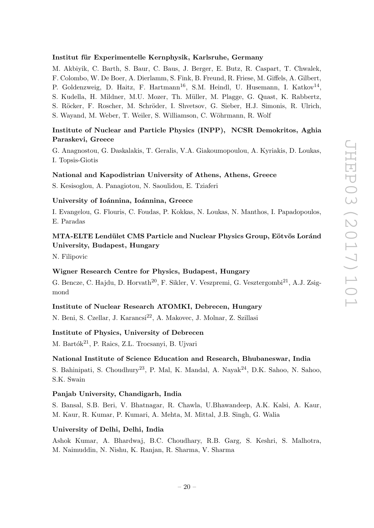## Institut für Experimentelle Kernphysik, Karlsruhe, Germany

M. Akbiyik, C. Barth, S. Baur, C. Baus, J. Berger, E. Butz, R. Caspart, T. Chwalek, F. Colombo, W. De Boer, A. Dierlamm, S. Fink, B. Freund, R. Friese, M. Giffels, A. Gilbert, P. Goldenzweig, D. Haitz, F. Hartmann<sup>16</sup>, S.M. Heindl, U. Husemann, I. Katkov<sup>14</sup>, S. Kudella, H. Mildner, M.U. Mozer, Th. Müller, M. Plagge, G. Quast, K. Rabbertz, S. Röcker, F. Roscher, M. Schröder, I. Shvetsov, G. Sieber, H.J. Simonis, R. Ulrich, S. Wayand, M. Weber, T. Weiler, S. Williamson, C. Wöhrmann, R. Wolf

## Institute of Nuclear and Particle Physics (INPP), NCSR Demokritos, Aghia Paraskevi, Greece

G. Anagnostou, G. Daskalakis, T. Geralis, V.A. Giakoumopoulou, A. Kyriakis, D. Loukas, I. Topsis-Giotis

### National and Kapodistrian University of Athens, Athens, Greece

S. Kesisoglou, A. Panagiotou, N. Saoulidou, E. Tziaferi

#### University of Ioánnina, Ioánnina, Greece

I. Evangelou, G. Flouris, C. Foudas, P. Kokkas, N. Loukas, N. Manthos, I. Papadopoulos, E. Paradas

## MTA-ELTE Lendület CMS Particle and Nuclear Physics Group, Eötvös Loránd University, Budapest, Hungary

N. Filipovic

## Wigner Research Centre for Physics, Budapest, Hungary

G. Bencze, C. Hajdu, D. Horvath<sup>20</sup>, F. Sikler, V. Veszpremi, G. Vesztergombi<sup>21</sup>, A.J. Zsigmond

## Institute of Nuclear Research ATOMKI, Debrecen, Hungary

N. Beni, S. Czellar, J. Karancsi<sup>22</sup>, A. Makovec, J. Molnar, Z. Szillasi

## Institute of Physics, University of Debrecen

M. Bartók<sup>21</sup>, P. Raics, Z.L. Trocsanyi, B. Ujvari

## National Institute of Science Education and Research, Bhubaneswar, India

S. Bahinipati, S. Choudhury<sup>23</sup>, P. Mal, K. Mandal, A. Nayak<sup>24</sup>, D.K. Sahoo, N. Sahoo, S.K. Swain

## Panjab University, Chandigarh, India

S. Bansal, S.B. Beri, V. Bhatnagar, R. Chawla, U.Bhawandeep, A.K. Kalsi, A. Kaur, M. Kaur, R. Kumar, P. Kumari, A. Mehta, M. Mittal, J.B. Singh, G. Walia

### University of Delhi, Delhi, India

Ashok Kumar, A. Bhardwaj, B.C. Choudhary, R.B. Garg, S. Keshri, S. Malhotra, M. Naimuddin, N. Nishu, K. Ranjan, R. Sharma, V. Sharma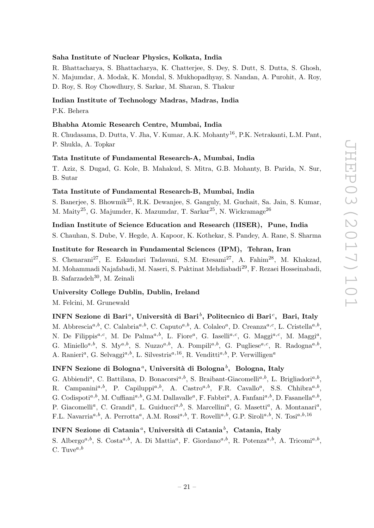## Saha Institute of Nuclear Physics, Kolkata, India

R. Bhattacharya, S. Bhattacharya, K. Chatterjee, S. Dey, S. Dutt, S. Dutta, S. Ghosh, N. Majumdar, A. Modak, K. Mondal, S. Mukhopadhyay, S. Nandan, A. Purohit, A. Roy, D. Roy, S. Roy Chowdhury, S. Sarkar, M. Sharan, S. Thakur

### Indian Institute of Technology Madras, Madras, India

P.K. Behera

#### Bhabha Atomic Research Centre, Mumbai, India

R. Chudasama, D. Dutta, V. Jha, V. Kumar, A.K. Mohanty16, P.K. Netrakanti, L.M. Pant, P. Shukla, A. Topkar

#### Tata Institute of Fundamental Research-A, Mumbai, India

T. Aziz, S. Dugad, G. Kole, B. Mahakud, S. Mitra, G.B. Mohanty, B. Parida, N. Sur, B. Sutar

## Tata Institute of Fundamental Research-B, Mumbai, India

S. Banerjee, S. Bhowmik25, R.K. Dewanjee, S. Ganguly, M. Guchait, Sa. Jain, S. Kumar, M. Maity<sup>25</sup>, G. Majumder, K. Mazumdar, T. Sarkar<sup>25</sup>, N. Wickramage<sup>26</sup>

#### Indian Institute of Science Education and Research (IISER), Pune, India

S. Chauhan, S. Dube, V. Hegde, A. Kapoor, K. Kothekar, S. Pandey, A. Rane, S. Sharma

### Institute for Research in Fundamental Sciences (IPM), Tehran, Iran

S. Chenarani<sup>27</sup>, E. Eskandari Tadavani, S.M. Etesami<sup>27</sup>, A. Fahim<sup>28</sup>, M. Khakzad, M. Mohammadi Najafabadi, M. Naseri, S. Paktinat Mehdiabadi<sup>29</sup>, F. Rezaei Hosseinabadi, B. Safarzadeh<sup>30</sup>, M. Zeinali

## University College Dublin, Dublin, Ireland

M. Felcini, M. Grunewald

## INFN Sezione di Bari<sup>a</sup>, Università di Bari $^b$ , Politecnico di Bari $^c$ , Bari, Italy

M. Abbrescia<sup>a,b</sup>, C. Calabria<sup>a,b</sup>, C. Caputo<sup>a,b</sup>, A. Colaleo<sup>a</sup>, D. Creanza<sup>a,c</sup>, L. Cristella<sup>a,b</sup>, N. De Filippis<sup>a,c</sup>, M. De Palma<sup>a,b</sup>, L. Fiore<sup>a</sup>, G. Iaselli<sup>a,c</sup>, G. Maggi<sup>a,c</sup>, M. Maggi<sup>a</sup>, G. Miniello<sup>a,b</sup>, S. My<sup>a,b</sup>, S. Nuzzo<sup>a,b</sup>, A. Pompili<sup>a,b</sup>, G. Pugliese<sup>a,c</sup>, R. Radogna<sup>a,b</sup>, A. Ranieri<sup>a</sup>, G. Selvaggi<sup>a,b</sup>, L. Silvestris<sup>a, 16</sup>, R. Venditti<sup>a,b</sup>, P. Verwilligen<sup>a</sup>

## INFN Sezione di Bologna ${}^a,$  Università di Bologna ${}^b,\,$  Bologna, Italy

G. Abbiendi<sup>a</sup>, C. Battilana, D. Bonacorsi<sup>a,b</sup>, S. Braibant-Giacomelli<sup>a,b</sup>, L. Brigliadori<sup>a,b</sup>, R. Campanini<sup>a,b</sup>, P. Capiluppi<sup>a,b</sup>, A. Castro<sup>a,b</sup>, F.R. Cavallo<sup>a</sup>, S.S. Chhibra<sup>a,b</sup>, G. Codispoti<sup>a,b</sup>, M. Cuffiani<sup>a,b</sup>, G.M. Dallavalle<sup>a</sup>, F. Fabbri<sup>a</sup>, A. Fanfani<sup>a,b</sup>, D. Fasanella<sup>a,b</sup>, P. Giacomelli<sup>a</sup>, C. Grandi<sup>a</sup>, L. Guiducci<sup>a,b</sup>, S. Marcellini<sup>a</sup>, G. Masetti<sup>a</sup>, A. Montanari<sup>a</sup>, F.L. Navarria<sup>a,b</sup>, A. Perrotta<sup>a</sup>, A.M. Rossi<sup>a,b</sup>, T. Rovelli<sup>a,b</sup>, G.P. Siroli<sup>a,b</sup>, N. Tosi<sup>a,b,16</sup>

## INFN Sezione di Catania $^a,$  Università di Catania $^b,\;$  Catania, Italy

S. Albergo<sup>a,b</sup>, S. Costa<sup>a,b</sup>, A. Di Mattia<sup>a</sup>, F. Giordano<sup>a,b</sup>, R. Potenza<sup>a,b</sup>, A. Tricomi<sup>a,b</sup>, C. Tuve<sup> $a,b$ </sup>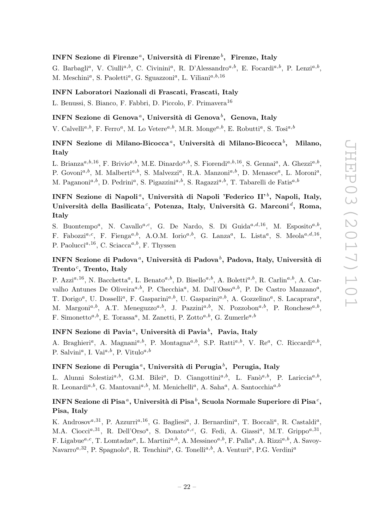## INFN Sezione di Firenze $^a,$  Università di Firenze $^b, \, \,$ Firenze, Italy

G. Barbagli<sup>a</sup>, V. Ciulli<sup>a,b</sup>, C. Civinini<sup>a</sup>, R. D'Alessandro<sup>a,b</sup>, E. Focardi<sup>a,b</sup>, P. Lenzi<sup>a,b</sup>, M. Meschini<sup>a</sup>, S. Paoletti<sup>a</sup>, G. Sguazzoni<sup>a</sup>, L. Viliani<sup>a,b,16</sup>

## INFN Laboratori Nazionali di Frascati, Frascati, Italy

L. Benussi, S. Bianco, F. Fabbri, D. Piccolo, F. Primavera<sup>16</sup>

## INFN Sezione di Genova $^a,$  Università di Genova $^b, \,$  Genova, Italy

V. Calvelli<sup>a,b</sup>, F. Ferro<sup>a</sup>, M. Lo Vetere<sup>a,b</sup>, M.R. Monge<sup>a,b</sup>, E. Robutti<sup>a</sup>, S. Tosi<sup>a,b</sup>

## INFN Sezione di Milano-Bicocca<sup>a</sup>, Università di Milano-Bicocca<sup>b</sup>, Milano, Italy

L. Brianza<sup>a,b,16</sup>, F. Brivio<sup>a,b</sup>, M.E. Dinardo<sup>a,b</sup>, S. Fiorendi<sup>a,b,16</sup>, S. Gennai<sup>a</sup>, A. Ghezzi<sup>a,b</sup>,

P. Govoni<sup>a,b</sup>, M. Malberti<sup>a,b</sup>, S. Malvezzi<sup>a</sup>, R.A. Manzoni<sup>a,b</sup>, D. Menasce<sup>a</sup>, L. Moroni<sup>a</sup>, M. Paganoni<sup>a,b</sup>, D. Pedrini<sup>a</sup>, S. Pigazzini<sup>a,b</sup>, S. Ragazzi<sup>a,b</sup>, T. Tabarelli de Fatis<sup>a,b</sup>

## INFN Sezione di Napoli<sup>a</sup>, Università di Napoli 'Federico II'<sup>, b</sup>, Napoli, Italy, Università della Basilicata $^c$ , Potenza, Italy, Università G. Marconi $^d$ , Roma, Italy

S. Buontempo<sup>a</sup>, N. Cavallo<sup>a,c</sup>, G. De Nardo, S. Di Guida<sup>a,d,16</sup>, M. Esposito<sup>a,b</sup>, F. Fabozzi<sup>a,c</sup>, F. Fienga<sup>a,b</sup>, A.O.M. Iorio<sup>a,b</sup>, G. Lanza<sup>a</sup>, L. Lista<sup>a</sup>, S. Meola<sup>a,d,16</sup>, P. Paolucci<sup>a, 16</sup>, C. Sciacca<sup>a, b</sup>, F. Thyssen

## INFN Sezione di Padova $^a$ , Università di Padova $^b$ , Padova, Italy, Università di  $Trento<sup>c</sup>$ , Trento, Italy

P. Azzi<sup>a, 16</sup>, N. Bacchetta<sup>a</sup>, L. Benato<sup>a,b</sup>, D. Bisello<sup>a,b</sup>, A. Boletti<sup>a,b</sup>, R. Carlin<sup>a,b</sup>, A. Carvalho Antunes De Oliveira<sup>a,b</sup>, P. Checchia<sup>a</sup>, M. Dall'Osso<sup>a,b</sup>, P. De Castro Manzano<sup>a</sup>, T. Dorigo<sup>a</sup>, U. Dosselli<sup>a</sup>, F. Gasparini<sup>a,b</sup>, U. Gasparini<sup>a,b</sup>, A. Gozzelino<sup>a</sup>, S. Lacaprara<sup>a</sup>, M. Margoni<sup>a,b</sup>, A.T. Meneguzzo<sup>a,b</sup>, J. Pazzini<sup>a,b</sup>, N. Pozzobon<sup>a,b</sup>, P. Ronchese<sup>a,b</sup>, F. Simonetto<sup>a,b</sup>, E. Torassa<sup>a</sup>, M. Zanetti, P. Zotto<sup>a,b</sup>, G. Zumerle<sup>a,b</sup>

## INFN Sezione di Pavia $^a,$  Università di Pavia $^b, \, \,$  Pavia, Italy

A. Braghieri<sup>a</sup>, A. Magnani<sup>a,b</sup>, P. Montagna<sup>a,b</sup>, S.P. Ratti<sup>a,b</sup>, V. Re<sup>a</sup>, C. Riccardi<sup>a,b</sup>, P. Salvini<sup>a</sup>, I. Vai<sup> $a,b$ </sup>, P. Vitulo $a,b$ 

## INFN Sezione di Perugia $^a,$  Università di Perugia $^b,\;$  Perugia, Italy

L. Alunni Solestizi<sup>a,b</sup>, G.M. Bilei<sup>a</sup>, D. Ciangottini<sup>a,b</sup>, L. Fanò<sup>a,b</sup>, P. Lariccia<sup>a,b</sup>, R. Leonardi<sup>a, b</sup>, G. Mantovani<sup>a, b</sup>, M. Menichelli<sup>a</sup>, A. Saha<sup>a</sup>, A. Santocchia<sup>a, b</sup>

## INFN Sezione di Pisa $^a,$  Università di Pisa $^b,$  Scuola Normale Superiore di Pisa $^c,$ Pisa, Italy

K. Androsov<sup>a, 31</sup>, P. Azzurri<sup>a, 16</sup>, G. Bagliesi<sup>a</sup>, J. Bernardini<sup>a</sup>, T. Boccali<sup>a</sup>, R. Castaldi<sup>a</sup>, M.A. Ciocci<sup>a,31</sup>, R. Dell'Orso<sup>a</sup>, S. Donato<sup>a,c</sup>, G. Fedi, A. Giassi<sup>a</sup>, M.T. Grippo<sup>a,31</sup>, F. Ligabue<sup>a, c</sup>, T. Lomtadze<sup>a</sup>, L. Martini<sup>a, b</sup>, A. Messineo<sup>a, b</sup>, F. Palla<sup>a</sup>, A. Rizzi<sup>a, b</sup>, A. Savoy-Navarro<sup>a, 32</sup>, P. Spagnolo<sup>a</sup>, R. Tenchini<sup>a</sup>, G. Tonelli<sup>a, b</sup>, A. Venturi<sup>a</sup>, P.G. Verdini<sup>a</sup>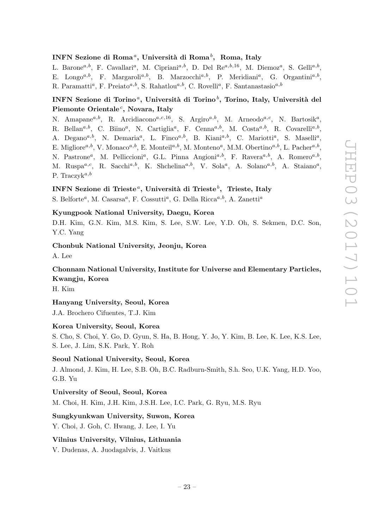## INFN Sezione di Roma $^a,$  Università di Roma $^b, \, \,$ Roma, Italy

L. Barone<sup>a,b</sup>, F. Cavallari<sup>a</sup>, M. Cipriani<sup>a,b</sup>, D. Del Re<sup>a,b,16</sup>, M. Diemoz<sup>a</sup>, S. Gelli<sup>a,b</sup>, E. Longo<sup>a,b</sup>, F. Margaroli<sup>a,b</sup>, B. Marzocchi<sup>a,b</sup>, P. Meridiani<sup>a</sup>, G. Organtini<sup>a,b</sup>, R. Paramatti<sup>a</sup>, F. Preiato<sup>a,b</sup>, S. Rahatlou<sup>a,b</sup>, C. Rovelli<sup>a</sup>, F. Santanastasio<sup>a,b</sup>

## INFN Sezione di Torino<sup>a</sup>, Università di Torino<sup>b</sup>, Torino, Italy, Università del Piemonte Orientale $^c$ , Novara, Italy

N. Amapane<sup>a,b</sup>, R. Arcidiacono<sup>a,c,16</sup>, S. Argiro<sup>a,b</sup>, M. Arneodo<sup>a,c</sup>, N. Bartosik<sup>a</sup>, R. Bellan<sup>a,b</sup>, C. Biino<sup>a</sup>, N. Cartiglia<sup>a</sup>, F. Cenna<sup>a,b</sup>, M. Costa<sup>a,b</sup>, R. Covarelli<sup>a,b</sup>, A. Degano<sup>a,b</sup>, N. Demaria<sup>a</sup>, L. Finco<sup>a,b</sup>, B. Kiani<sup>a,b</sup>, C. Mariotti<sup>a</sup>, S. Maselli<sup>a</sup>, E. Migliore<sup>a,b</sup>, V. Monaco<sup>a,b</sup>, E. Monteil<sup>a,b</sup>, M. Monteno<sup>a</sup>, M.M. Obertino<sup>a,b</sup>, L. Pacher<sup>a,b</sup>, N. Pastrone<sup>a</sup>, M. Pelliccioni<sup>a</sup>, G.L. Pinna Angioni<sup>a,b</sup>, F. Ravera<sup>a,b</sup>, A. Romero<sup>a,b</sup>, M. Ruspa<sup>a,c</sup>, R. Sacchi<sup>a,b</sup>, K. Shchelina<sup>a,b</sup>, V. Sola<sup>a</sup>, A. Solano<sup>a,b</sup>, A. Staiano<sup>a</sup>, P. Traczyk $a,b$ 

## INFN Sezione di Trieste $^a,$  Università di Trieste $^b, \, \,$  Trieste, Italy

S. Belforte<sup>a</sup>, M. Casarsa<sup>a</sup>, F. Cossutti<sup>a</sup>, G. Della Ricca<sup>a,b</sup>, A. Zanetti<sup>a</sup>

## Kyungpook National University, Daegu, Korea

D.H. Kim, G.N. Kim, M.S. Kim, S. Lee, S.W. Lee, Y.D. Oh, S. Sekmen, D.C. Son, Y.C. Yang

Chonbuk National University, Jeonju, Korea

A. Lee

## Chonnam National University, Institute for Universe and Elementary Particles, Kwangju, Korea

H. Kim

## Hanyang University, Seoul, Korea

J.A. Brochero Cifuentes, T.J. Kim

## Korea University, Seoul, Korea

S. Cho, S. Choi, Y. Go, D. Gyun, S. Ha, B. Hong, Y. Jo, Y. Kim, B. Lee, K. Lee, K.S. Lee, S. Lee, J. Lim, S.K. Park, Y. Roh

## Seoul National University, Seoul, Korea

J. Almond, J. Kim, H. Lee, S.B. Oh, B.C. Radburn-Smith, S.h. Seo, U.K. Yang, H.D. Yoo, G.B. Yu

University of Seoul, Seoul, Korea M. Choi, H. Kim, J.H. Kim, J.S.H. Lee, I.C. Park, G. Ryu, M.S. Ryu

#### Sungkyunkwan University, Suwon, Korea

Y. Choi, J. Goh, C. Hwang, J. Lee, I. Yu

### Vilnius University, Vilnius, Lithuania

V. Dudenas, A. Juodagalvis, J. Vaitkus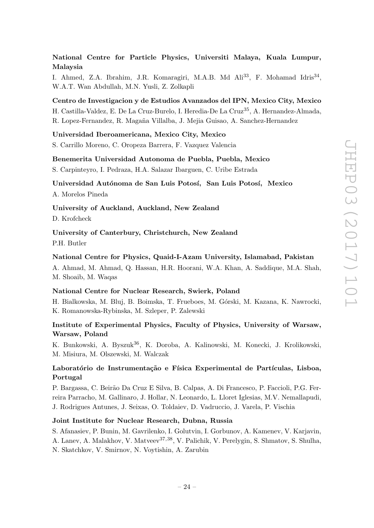## National Centre for Particle Physics, Universiti Malaya, Kuala Lumpur, Malaysia

I. Ahmed, Z.A. Ibrahim, J.R. Komaragiri, M.A.B. Md Ali<sup>33</sup>, F. Mohamad Idris<sup>34</sup>, W.A.T. Wan Abdullah, M.N. Yusli, Z. Zolkapli

Centro de Investigacion y de Estudios Avanzados del IPN, Mexico City, Mexico

H. Castilla-Valdez, E. De La Cruz-Burelo, I. Heredia-De La Cruz<sup>35</sup>, A. Hernandez-Almada, R. Lopez-Fernandez, R. Magaña Villalba, J. Mejia Guisao, A. Sanchez-Hernandez

#### Universidad Iberoamericana, Mexico City, Mexico

S. Carrillo Moreno, C. Oropeza Barrera, F. Vazquez Valencia

#### Benemerita Universidad Autonoma de Puebla, Puebla, Mexico

S. Carpinteyro, I. Pedraza, H.A. Salazar Ibarguen, C. Uribe Estrada

## Universidad Autónoma de San Luis Potosí, San Luis Potosí, Mexico

A. Morelos Pineda

## University of Auckland, Auckland, New Zealand

D. Krofcheck

University of Canterbury, Christchurch, New Zealand P.H. Butler

### National Centre for Physics, Quaid-I-Azam University, Islamabad, Pakistan

A. Ahmad, M. Ahmad, Q. Hassan, H.R. Hoorani, W.A. Khan, A. Saddique, M.A. Shah, M. Shoaib, M. Waqas

## National Centre for Nuclear Research, Swierk, Poland

H. Bialkowska, M. Bluj, B. Boimska, T. Frueboes, M. G´orski, M. Kazana, K. Nawrocki, K. Romanowska-Rybinska, M. Szleper, P. Zalewski

## Institute of Experimental Physics, Faculty of Physics, University of Warsaw, Warsaw, Poland

K. Bunkowski, A. Byszuk36, K. Doroba, A. Kalinowski, M. Konecki, J. Krolikowski, M. Misiura, M. Olszewski, M. Walczak

## Laboratório de Instrumentação e Física Experimental de Partículas, Lisboa, Portugal

P. Bargassa, C. Beirão Da Cruz E Silva, B. Calpas, A. Di Francesco, P. Faccioli, P.G. Ferreira Parracho, M. Gallinaro, J. Hollar, N. Leonardo, L. Lloret Iglesias, M.V. Nemallapudi, J. Rodrigues Antunes, J. Seixas, O. Toldaiev, D. Vadruccio, J. Varela, P. Vischia

## Joint Institute for Nuclear Research, Dubna, Russia

S. Afanasiev, P. Bunin, M. Gavrilenko, I. Golutvin, I. Gorbunov, A. Kamenev, V. Karjavin, A. Lanev, A. Malakhov, V. Matveev<sup>37, 38</sup>, V. Palichik, V. Perelygin, S. Shmatov, S. Shulha, N. Skatchkov, V. Smirnov, N. Voytishin, A. Zarubin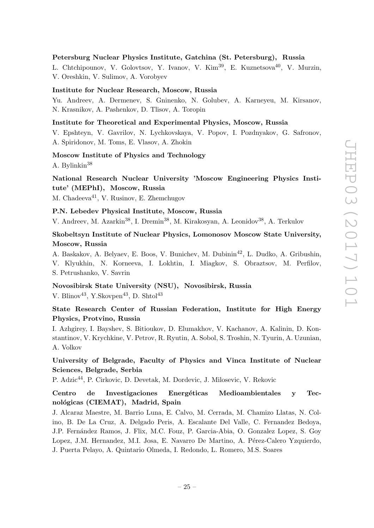## Petersburg Nuclear Physics Institute, Gatchina (St. Petersburg), Russia

L. Chtchipounov, V. Golovtsov, Y. Ivanov, V. Kim<sup>39</sup>, E. Kuznetsova<sup>40</sup>, V. Murzin, V. Oreshkin, V. Sulimov, A. Vorobyev

### Institute for Nuclear Research, Moscow, Russia

Yu. Andreev, A. Dermenev, S. Gninenko, N. Golubev, A. Karneyeu, M. Kirsanov, N. Krasnikov, A. Pashenkov, D. Tlisov, A. Toropin

#### Institute for Theoretical and Experimental Physics, Moscow, Russia

V. Epshteyn, V. Gavrilov, N. Lychkovskaya, V. Popov, I. Pozdnyakov, G. Safronov, A. Spiridonov, M. Toms, E. Vlasov, A. Zhokin

## Moscow Institute of Physics and Technology

A. Bylinkin<sup>38</sup>

## National Research Nuclear University 'Moscow Engineering Physics Institute' (MEPhI), Moscow, Russia

M. Chadeeva<sup>41</sup>, V. Rusinov, E. Zhemchugov

## P.N. Lebedev Physical Institute, Moscow, Russia

V. Andreev, M. Azarkin<sup>38</sup>, I. Dremin<sup>38</sup>, M. Kirakosyan, A. Leonidov<sup>38</sup>, A. Terkulov

## Skobeltsyn Institute of Nuclear Physics, Lomonosov Moscow State University, Moscow, Russia

A. Baskakov, A. Belyaev, E. Boos, V. Bunichev, M. Dubinin<sup>42</sup>, L. Dudko, A. Gribushin, V. Klyukhin, N. Korneeva, I. Lokhtin, I. Miagkov, S. Obraztsov, M. Perfilov, S. Petrushanko, V. Savrin

# Novosibirsk State University (NSU), Novosibirsk, Russia

V. Blinov<sup>43</sup>, Y.Skovpen<sup>43</sup>, D. Shtol<sup>43</sup>

## State Research Center of Russian Federation, Institute for High Energy Physics, Protvino, Russia

I. Azhgirey, I. Bayshev, S. Bitioukov, D. Elumakhov, V. Kachanov, A. Kalinin, D. Konstantinov, V. Krychkine, V. Petrov, R. Ryutin, A. Sobol, S. Troshin, N. Tyurin, A. Uzunian, A. Volkov

## University of Belgrade, Faculty of Physics and Vinca Institute of Nuclear Sciences, Belgrade, Serbia

P. Adzic<sup>44</sup>, P. Cirkovic, D. Devetak, M. Dordevic, J. Milosevic, V. Rekovic

## Centro de Investigaciones Energéticas Medioambientales y Tecnológicas (CIEMAT), Madrid, Spain

J. Alcaraz Maestre, M. Barrio Luna, E. Calvo, M. Cerrada, M. Chamizo Llatas, N. Colino, B. De La Cruz, A. Delgado Peris, A. Escalante Del Valle, C. Fernandez Bedoya, J.P. Fern´andez Ramos, J. Flix, M.C. Fouz, P. Garcia-Abia, O. Gonzalez Lopez, S. Goy Lopez, J.M. Hernandez, M.I. Josa, E. Navarro De Martino, A. Pérez-Calero Yzquierdo, J. Puerta Pelayo, A. Quintario Olmeda, I. Redondo, L. Romero, M.S. Soares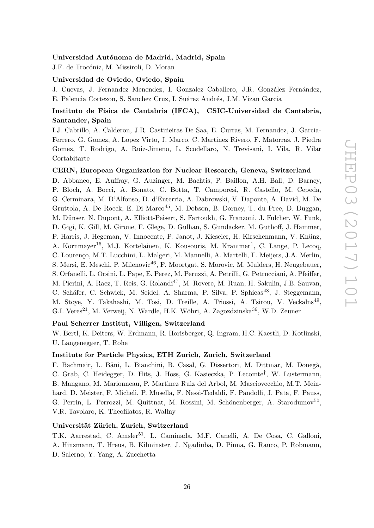### Universidad Autónoma de Madrid, Madrid, Spain

J.F. de Trocóniz, M. Missiroli, D. Moran

## Universidad de Oviedo, Oviedo, Spain

J. Cuevas, J. Fernandez Menendez, I. Gonzalez Caballero, J.R. González Fernández, E. Palencia Cortezon, S. Sanchez Cruz, I. Suárez Andrés, J.M. Vizan Garcia

## Instituto de Física de Cantabria (IFCA), CSIC-Universidad de Cantabria, Santander, Spain

I.J. Cabrillo, A. Calderon, J.R. Castiñeiras De Saa, E. Curras, M. Fernandez, J. Garcia-Ferrero, G. Gomez, A. Lopez Virto, J. Marco, C. Martinez Rivero, F. Matorras, J. Piedra Gomez, T. Rodrigo, A. Ruiz-Jimeno, L. Scodellaro, N. Trevisani, I. Vila, R. Vilar Cortabitarte

#### CERN, European Organization for Nuclear Research, Geneva, Switzerland

D. Abbaneo, E. Auffray, G. Auzinger, M. Bachtis, P. Baillon, A.H. Ball, D. Barney, P. Bloch, A. Bocci, A. Bonato, C. Botta, T. Camporesi, R. Castello, M. Cepeda, G. Cerminara, M. D'Alfonso, D. d'Enterria, A. Dabrowski, V. Daponte, A. David, M. De Gruttola, A. De Roeck, E. Di Marco<sup>45</sup>, M. Dobson, B. Dorney, T. du Pree, D. Duggan, M. Dünser, N. Dupont, A. Elliott-Peisert, S. Fartoukh, G. Franzoni, J. Fulcher, W. Funk, D. Gigi, K. Gill, M. Girone, F. Glege, D. Gulhan, S. Gundacker, M. Guthoff, J. Hammer, P. Harris, J. Hegeman, V. Innocente, P. Janot, J. Kieseler, H. Kirschenmann, V. Knünz, A. Kornmayer<sup>16</sup>, M.J. Kortelainen, K. Kousouris, M. Krammer<sup>1</sup>, C. Lange, P. Lecoq, C. Lourenço, M.T. Lucchini, L. Malgeri, M. Mannelli, A. Martelli, F. Meijers, J.A. Merlin, S. Mersi, E. Meschi, P. Milenovic46, F. Moortgat, S. Morovic, M. Mulders, H. Neugebauer, S. Orfanelli, L. Orsini, L. Pape, E. Perez, M. Peruzzi, A. Petrilli, G. Petrucciani, A. Pfeiffer, M. Pierini, A. Racz, T. Reis, G. Rolandi<sup>47</sup>, M. Rovere, M. Ruan, H. Sakulin, J.B. Sauvan, C. Schäfer, C. Schwick, M. Seidel, A. Sharma, P. Silva, P. Sphicas<sup>48</sup>, J. Steggemann, M. Stoye, Y. Takahashi, M. Tosi, D. Treille, A. Triossi, A. Tsirou, V. Veckalns<sup>49</sup>, G.I. Veres<sup>21</sup>, M. Verweij, N. Wardle, H.K. Wöhri, A. Zagozdzinska<sup>36</sup>, W.D. Zeuner

## Paul Scherrer Institut, Villigen, Switzerland

W. Bertl, K. Deiters, W. Erdmann, R. Horisberger, Q. Ingram, H.C. Kaestli, D. Kotlinski, U. Langenegger, T. Rohe

#### Institute for Particle Physics, ETH Zurich, Zurich, Switzerland

F. Bachmair, L. Bäni, L. Bianchini, B. Casal, G. Dissertori, M. Dittmar, M. Donegà, C. Grab, C. Heidegger, D. Hits, J. Hoss, G. Kasieczka, P. Lecomte† , W. Lustermann, B. Mangano, M. Marionneau, P. Martinez Ruiz del Arbol, M. Masciovecchio, M.T. Meinhard, D. Meister, F. Micheli, P. Musella, F. Nessi-Tedaldi, F. Pandolfi, J. Pata, F. Pauss, G. Perrin, L. Perrozzi, M. Quittnat, M. Rossini, M. Schönenberger, A. Starodumov<sup>50</sup>, V.R. Tavolaro, K. Theofilatos, R. Wallny

#### Universität Zürich, Zurich, Switzerland

T.K. Aarrestad, C. Amsler<sup>51</sup>, L. Caminada, M.F. Canelli, A. De Cosa, C. Galloni, A. Hinzmann, T. Hreus, B. Kilminster, J. Ngadiuba, D. Pinna, G. Rauco, P. Robmann, D. Salerno, Y. Yang, A. Zucchetta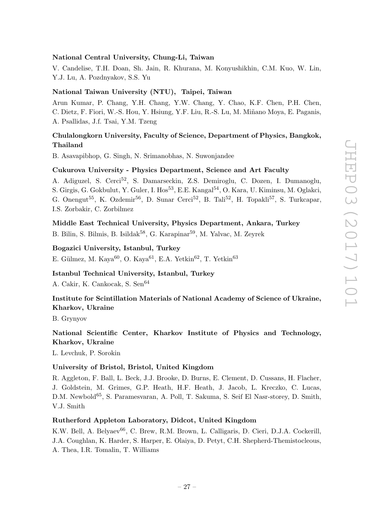### National Central University, Chung-Li, Taiwan

V. Candelise, T.H. Doan, Sh. Jain, R. Khurana, M. Konyushikhin, C.M. Kuo, W. Lin, Y.J. Lu, A. Pozdnyakov, S.S. Yu

### National Taiwan University (NTU), Taipei, Taiwan

Arun Kumar, P. Chang, Y.H. Chang, Y.W. Chang, Y. Chao, K.F. Chen, P.H. Chen, C. Dietz, F. Fiori, W.-S. Hou, Y. Hsiung, Y.F. Liu, R.-S. Lu, M. Miñano Moya, E. Paganis, A. Psallidas, J.f. Tsai, Y.M. Tzeng

## Chulalongkorn University, Faculty of Science, Department of Physics, Bangkok, Thailand

B. Asavapibhop, G. Singh, N. Srimanobhas, N. Suwonjandee

### Cukurova University - Physics Department, Science and Art Faculty

A. Adiguzel, S. Cerci<sup>52</sup>, S. Damarseckin, Z.S. Demiroglu, C. Dozen, I. Dumanoglu, S. Girgis, G. Gokbulut, Y. Guler, I. Hos<sup>53</sup>, E.E. Kangal<sup>54</sup>, O. Kara, U. Kiminsu, M. Oglakci, G. Onengut<sup>55</sup>, K. Ozdemir<sup>56</sup>, D. Sunar Cerci<sup>52</sup>, B. Tali<sup>52</sup>, H. Topakli<sup>57</sup>, S. Turkcapar, I.S. Zorbakir, C. Zorbilmez

## Middle East Technical University, Physics Department, Ankara, Turkey

B. Bilin, S. Bilmis, B. Isildak<sup>58</sup>, G. Karapinar<sup>59</sup>, M. Yalvac, M. Zeyrek

### Bogazici University, Istanbul, Turkey

E. Gülmez, M. Kaya<sup>60</sup>, O. Kaya<sup>61</sup>, E.A. Yetkin<sup>62</sup>, T. Yetkin<sup>63</sup>

#### Istanbul Technical University, Istanbul, Turkey

A. Cakir, K. Cankocak, S. Sen<sup>64</sup>

## Institute for Scintillation Materials of National Academy of Science of Ukraine, Kharkov, Ukraine

B. Grynyov

## National Scientific Center, Kharkov Institute of Physics and Technology, Kharkov, Ukraine

L. Levchuk, P. Sorokin

## University of Bristol, Bristol, United Kingdom

R. Aggleton, F. Ball, L. Beck, J.J. Brooke, D. Burns, E. Clement, D. Cussans, H. Flacher, J. Goldstein, M. Grimes, G.P. Heath, H.F. Heath, J. Jacob, L. Kreczko, C. Lucas, D.M. Newbold<sup>65</sup>, S. Paramesvaran, A. Poll, T. Sakuma, S. Seif El Nasr-storey, D. Smith, V.J. Smith

## Rutherford Appleton Laboratory, Didcot, United Kingdom

K.W. Bell, A. Belyaev<sup>66</sup>, C. Brew, R.M. Brown, L. Calligaris, D. Cieri, D.J.A. Cockerill, J.A. Coughlan, K. Harder, S. Harper, E. Olaiya, D. Petyt, C.H. Shepherd-Themistocleous, A. Thea, I.R. Tomalin, T. Williams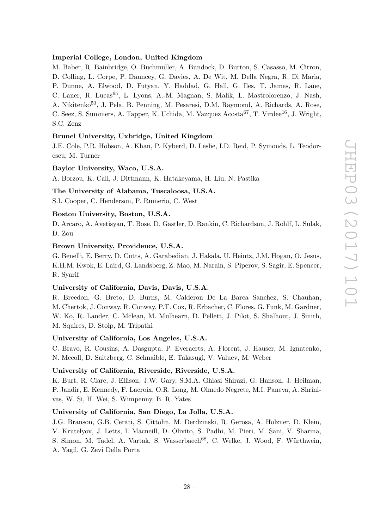### Imperial College, London, United Kingdom

M. Baber, R. Bainbridge, O. Buchmuller, A. Bundock, D. Burton, S. Casasso, M. Citron, D. Colling, L. Corpe, P. Dauncey, G. Davies, A. De Wit, M. Della Negra, R. Di Maria, P. Dunne, A. Elwood, D. Futyan, Y. Haddad, G. Hall, G. Iles, T. James, R. Lane, C. Laner, R. Lucas<sup>65</sup>, L. Lyons, A.-M. Magnan, S. Malik, L. Mastrolorenzo, J. Nash, A. Nikitenko<sup>50</sup>, J. Pela, B. Penning, M. Pesaresi, D.M. Raymond, A. Richards, A. Rose, C. Seez, S. Summers, A. Tapper, K. Uchida, M. Vazquez Acosta<sup>67</sup>, T. Virdee<sup>16</sup>, J. Wright, S.C. Zenz

#### Brunel University, Uxbridge, United Kingdom

J.E. Cole, P.R. Hobson, A. Khan, P. Kyberd, D. Leslie, I.D. Reid, P. Symonds, L. Teodorescu, M. Turner

### Baylor University, Waco, U.S.A.

A. Borzou, K. Call, J. Dittmann, K. Hatakeyama, H. Liu, N. Pastika

#### The University of Alabama, Tuscaloosa, U.S.A.

S.I. Cooper, C. Henderson, P. Rumerio, C. West

#### Boston University, Boston, U.S.A.

D. Arcaro, A. Avetisyan, T. Bose, D. Gastler, D. Rankin, C. Richardson, J. Rohlf, L. Sulak, D. Zou

#### Brown University, Providence, U.S.A.

G. Benelli, E. Berry, D. Cutts, A. Garabedian, J. Hakala, U. Heintz, J.M. Hogan, O. Jesus, K.H.M. Kwok, E. Laird, G. Landsberg, Z. Mao, M. Narain, S. Piperov, S. Sagir, E. Spencer, R. Syarif

### University of California, Davis, Davis, U.S.A.

R. Breedon, G. Breto, D. Burns, M. Calderon De La Barca Sanchez, S. Chauhan, M. Chertok, J. Conway, R. Conway, P.T. Cox, R. Erbacher, C. Flores, G. Funk, M. Gardner, W. Ko, R. Lander, C. Mclean, M. Mulhearn, D. Pellett, J. Pilot, S. Shalhout, J. Smith, M. Squires, D. Stolp, M. Tripathi

## University of California, Los Angeles, U.S.A.

C. Bravo, R. Cousins, A. Dasgupta, P. Everaerts, A. Florent, J. Hauser, M. Ignatenko, N. Mccoll, D. Saltzberg, C. Schnaible, E. Takasugi, V. Valuev, M. Weber

#### University of California, Riverside, Riverside, U.S.A.

K. Burt, R. Clare, J. Ellison, J.W. Gary, S.M.A. Ghiasi Shirazi, G. Hanson, J. Heilman, P. Jandir, E. Kennedy, F. Lacroix, O.R. Long, M. Olmedo Negrete, M.I. Paneva, A. Shrinivas, W. Si, H. Wei, S. Wimpenny, B. R. Yates

## University of California, San Diego, La Jolla, U.S.A.

J.G. Branson, G.B. Cerati, S. Cittolin, M. Derdzinski, R. Gerosa, A. Holzner, D. Klein, V. Krutelyov, J. Letts, I. Macneill, D. Olivito, S. Padhi, M. Pieri, M. Sani, V. Sharma, S. Simon, M. Tadel, A. Vartak, S. Wasserbaech<sup>68</sup>, C. Welke, J. Wood, F. Würthwein, A. Yagil, G. Zevi Della Porta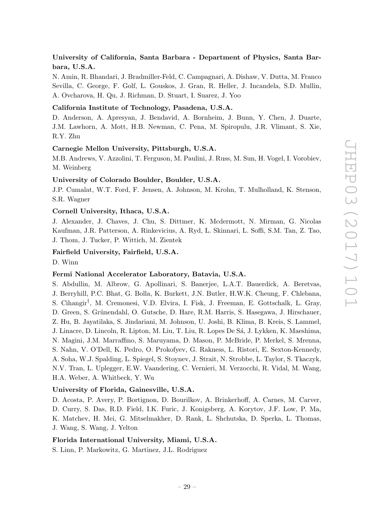## University of California, Santa Barbara - Department of Physics, Santa Barbara, U.S.A.

N. Amin, R. Bhandari, J. Bradmiller-Feld, C. Campagnari, A. Dishaw, V. Dutta, M. Franco Sevilla, C. George, F. Golf, L. Gouskos, J. Gran, R. Heller, J. Incandela, S.D. Mullin, A. Ovcharova, H. Qu, J. Richman, D. Stuart, I. Suarez, J. Yoo

## California Institute of Technology, Pasadena, U.S.A.

D. Anderson, A. Apresyan, J. Bendavid, A. Bornheim, J. Bunn, Y. Chen, J. Duarte, J.M. Lawhorn, A. Mott, H.B. Newman, C. Pena, M. Spiropulu, J.R. Vlimant, S. Xie, R.Y. Zhu

## Carnegie Mellon University, Pittsburgh, U.S.A.

M.B. Andrews, V. Azzolini, T. Ferguson, M. Paulini, J. Russ, M. Sun, H. Vogel, I. Vorobiev, M. Weinberg

## University of Colorado Boulder, Boulder, U.S.A.

J.P. Cumalat, W.T. Ford, F. Jensen, A. Johnson, M. Krohn, T. Mulholland, K. Stenson, S.R. Wagner

## Cornell University, Ithaca, U.S.A.

J. Alexander, J. Chaves, J. Chu, S. Dittmer, K. Mcdermott, N. Mirman, G. Nicolas Kaufman, J.R. Patterson, A. Rinkevicius, A. Ryd, L. Skinnari, L. Soffi, S.M. Tan, Z. Tao, J. Thom, J. Tucker, P. Wittich, M. Zientek

## Fairfield University, Fairfield, U.S.A.

D. Winn

#### Fermi National Accelerator Laboratory, Batavia, U.S.A.

S. Abdullin, M. Albrow, G. Apollinari, S. Banerjee, L.A.T. Bauerdick, A. Beretvas, J. Berryhill, P.C. Bhat, G. Bolla, K. Burkett, J.N. Butler, H.W.K. Cheung, F. Chlebana, S. Cihangir† , M. Cremonesi, V.D. Elvira, I. Fisk, J. Freeman, E. Gottschalk, L. Gray, D. Green, S. Grünendahl, O. Gutsche, D. Hare, R.M. Harris, S. Hasegawa, J. Hirschauer, Z. Hu, B. Jayatilaka, S. Jindariani, M. Johnson, U. Joshi, B. Klima, B. Kreis, S. Lammel, J. Linacre, D. Lincoln, R. Lipton, M. Liu, T. Liu, R. Lopes De S´a, J. Lykken, K. Maeshima, N. Magini, J.M. Marraffino, S. Maruyama, D. Mason, P. McBride, P. Merkel, S. Mrenna, S. Nahn, V. O'Dell, K. Pedro, O. Prokofyev, G. Rakness, L. Ristori, E. Sexton-Kennedy, A. Soha, W.J. Spalding, L. Spiegel, S. Stoynev, J. Strait, N. Strobbe, L. Taylor, S. Tkaczyk, N.V. Tran, L. Uplegger, E.W. Vaandering, C. Vernieri, M. Verzocchi, R. Vidal, M. Wang, H.A. Weber, A. Whitbeck, Y. Wu

#### University of Florida, Gainesville, U.S.A.

D. Acosta, P. Avery, P. Bortignon, D. Bourilkov, A. Brinkerhoff, A. Carnes, M. Carver, D. Curry, S. Das, R.D. Field, I.K. Furic, J. Konigsberg, A. Korytov, J.F. Low, P. Ma, K. Matchev, H. Mei, G. Mitselmakher, D. Rank, L. Shchutska, D. Sperka, L. Thomas, J. Wang, S. Wang, J. Yelton

### Florida International University, Miami, U.S.A.

S. Linn, P. Markowitz, G. Martinez, J.L. Rodriguez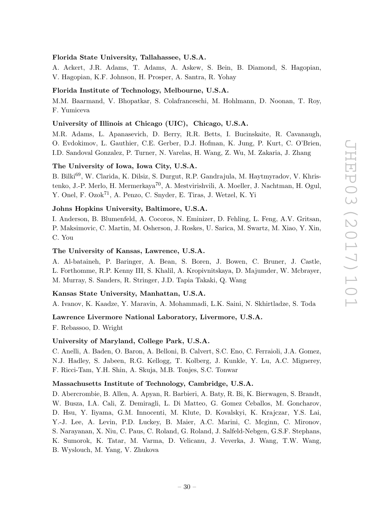#### Florida State University, Tallahassee, U.S.A.

A. Ackert, J.R. Adams, T. Adams, A. Askew, S. Bein, B. Diamond, S. Hagopian, V. Hagopian, K.F. Johnson, H. Prosper, A. Santra, R. Yohay

## Florida Institute of Technology, Melbourne, U.S.A.

M.M. Baarmand, V. Bhopatkar, S. Colafranceschi, M. Hohlmann, D. Noonan, T. Roy, F. Yumiceva

## University of Illinois at Chicago (UIC), Chicago, U.S.A.

M.R. Adams, L. Apanasevich, D. Berry, R.R. Betts, I. Bucinskaite, R. Cavanaugh, O. Evdokimov, L. Gauthier, C.E. Gerber, D.J. Hofman, K. Jung, P. Kurt, C. O'Brien, I.D. Sandoval Gonzalez, P. Turner, N. Varelas, H. Wang, Z. Wu, M. Zakaria, J. Zhang

## The University of Iowa, Iowa City, U.S.A.

B. Bilki<sup>69</sup>, W. Clarida, K. Dilsiz, S. Durgut, R.P. Gandrajula, M. Haytmyradov, V. Khristenko, J.-P. Merlo, H. Mermerkaya<sup>70</sup>, A. Mestvirishvili, A. Moeller, J. Nachtman, H. Ogul, Y. Onel, F. Ozok<sup>71</sup>, A. Penzo, C. Snyder, E. Tiras, J. Wetzel, K. Yi

## Johns Hopkins University, Baltimore, U.S.A.

I. Anderson, B. Blumenfeld, A. Cocoros, N. Eminizer, D. Fehling, L. Feng, A.V. Gritsan, P. Maksimovic, C. Martin, M. Osherson, J. Roskes, U. Sarica, M. Swartz, M. Xiao, Y. Xin, C. You

## The University of Kansas, Lawrence, U.S.A.

A. Al-bataineh, P. Baringer, A. Bean, S. Boren, J. Bowen, C. Bruner, J. Castle, L. Forthomme, R.P. Kenny III, S. Khalil, A. Kropivnitskaya, D. Majumder, W. Mcbrayer, M. Murray, S. Sanders, R. Stringer, J.D. Tapia Takaki, Q. Wang

#### Kansas State University, Manhattan, U.S.A.

A. Ivanov, K. Kaadze, Y. Maravin, A. Mohammadi, L.K. Saini, N. Skhirtladze, S. Toda

#### Lawrence Livermore National Laboratory, Livermore, U.S.A.

F. Rebassoo, D. Wright

## University of Maryland, College Park, U.S.A.

C. Anelli, A. Baden, O. Baron, A. Belloni, B. Calvert, S.C. Eno, C. Ferraioli, J.A. Gomez, N.J. Hadley, S. Jabeen, R.G. Kellogg, T. Kolberg, J. Kunkle, Y. Lu, A.C. Mignerey, F. Ricci-Tam, Y.H. Shin, A. Skuja, M.B. Tonjes, S.C. Tonwar

#### Massachusetts Institute of Technology, Cambridge, U.S.A.

D. Abercrombie, B. Allen, A. Apyan, R. Barbieri, A. Baty, R. Bi, K. Bierwagen, S. Brandt, W. Busza, I.A. Cali, Z. Demiragli, L. Di Matteo, G. Gomez Ceballos, M. Goncharov, D. Hsu, Y. Iiyama, G.M. Innocenti, M. Klute, D. Kovalskyi, K. Krajczar, Y.S. Lai, Y.-J. Lee, A. Levin, P.D. Luckey, B. Maier, A.C. Marini, C. Mcginn, C. Mironov, S. Narayanan, X. Niu, C. Paus, C. Roland, G. Roland, J. Salfeld-Nebgen, G.S.F. Stephans, K. Sumorok, K. Tatar, M. Varma, D. Velicanu, J. Veverka, J. Wang, T.W. Wang, B. Wyslouch, M. Yang, V. Zhukova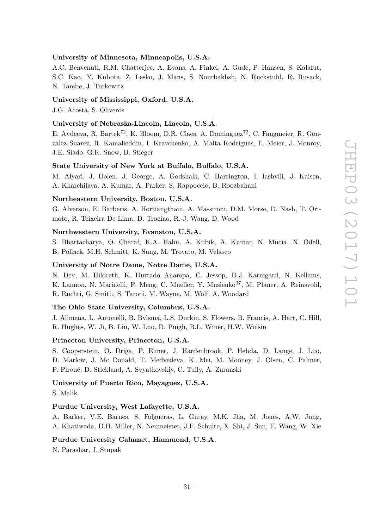### University of Minnesota, Minneapolis, U.S.A.

A.C. Benvenuti, R.M. Chatterjee, A. Evans, A. Finkel, A. Gude, P. Hansen, S. Kalafut, S.C. Kao, Y. Kubota, Z. Lesko, J. Mans, S. Nourbakhsh, N. Ruckstuhl, R. Rusack, N. Tambe, J. Turkewitz

### University of Mississippi, Oxford, U.S.A.

J.G. Acosta, S. Oliveros

## University of Nebraska-Lincoln, Lincoln, U.S.A.

E. Avdeeva, R. Bartek<sup>72</sup>, K. Bloom, D.R. Claes, A. Dominguez<sup>72</sup>, C. Fangmeier, R. Gonzalez Suarez, R. Kamalieddin, I. Kravchenko, A. Malta Rodrigues, F. Meier, J. Monroy, J.E. Siado, G.R. Snow, B. Stieger

#### State University of New York at Buffalo, Buffalo, U.S.A.

M. Alyari, J. Dolen, J. George, A. Godshalk, C. Harrington, I. Iashvili, J. Kaisen, A. Kharchilava, A. Kumar, A. Parker, S. Rappoccio, B. Roozbahani

## Northeastern University, Boston, U.S.A.

G. Alverson, E. Barberis, A. Hortiangtham, A. Massironi, D.M. Morse, D. Nash, T. Orimoto, R. Teixeira De Lima, D. Trocino, R.-J. Wang, D. Wood

#### Northwestern University, Evanston, U.S.A.

S. Bhattacharya, O. Charaf, K.A. Hahn, A. Kubik, A. Kumar, N. Mucia, N. Odell, B. Pollack, M.H. Schmitt, K. Sung, M. Trovato, M. Velasco

## University of Notre Dame, Notre Dame, U.S.A.

N. Dev, M. Hildreth, K. Hurtado Anampa, C. Jessop, D.J. Karmgard, N. Kellams, K. Lannon, N. Marinelli, F. Meng, C. Mueller, Y. Musienko<sup>37</sup>, M. Planer, A. Reinsvold, R. Ruchti, G. Smith, S. Taroni, M. Wayne, M. Wolf, A. Woodard

#### The Ohio State University, Columbus, U.S.A.

J. Alimena, L. Antonelli, B. Bylsma, L.S. Durkin, S. Flowers, B. Francis, A. Hart, C. Hill, R. Hughes, W. Ji, B. Liu, W. Luo, D. Puigh, B.L. Winer, H.W. Wulsin

## Princeton University, Princeton, U.S.A.

S. Cooperstein, O. Driga, P. Elmer, J. Hardenbrook, P. Hebda, D. Lange, J. Luo, D. Marlow, J. Mc Donald, T. Medvedeva, K. Mei, M. Mooney, J. Olsen, C. Palmer, P. Piroué, D. Stickland, A. Svyatkovskiy, C. Tully, A. Zuranski

#### University of Puerto Rico, Mayaguez, U.S.A.

S. Malik

## Purdue University, West Lafayette, U.S.A.

A. Barker, V.E. Barnes, S. Folgueras, L. Gutay, M.K. Jha, M. Jones, A.W. Jung, A. Khatiwada, D.H. Miller, N. Neumeister, J.F. Schulte, X. Shi, J. Sun, F. Wang, W. Xie

#### Purdue University Calumet, Hammond, U.S.A.

N. Parashar, J. Stupak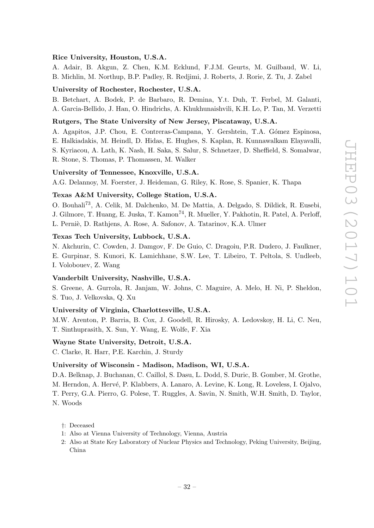### Rice University, Houston, U.S.A.

A. Adair, B. Akgun, Z. Chen, K.M. Ecklund, F.J.M. Geurts, M. Guilbaud, W. Li, B. Michlin, M. Northup, B.P. Padley, R. Redjimi, J. Roberts, J. Rorie, Z. Tu, J. Zabel

#### University of Rochester, Rochester, U.S.A.

B. Betchart, A. Bodek, P. de Barbaro, R. Demina, Y.t. Duh, T. Ferbel, M. Galanti, A. Garcia-Bellido, J. Han, O. Hindrichs, A. Khukhunaishvili, K.H. Lo, P. Tan, M. Verzetti

#### Rutgers, The State University of New Jersey, Piscataway, U.S.A.

A. Agapitos, J.P. Chou, E. Contreras-Campana, Y. Gershtein, T.A. Gómez Espinosa, E. Halkiadakis, M. Heindl, D. Hidas, E. Hughes, S. Kaplan, R. Kunnawalkam Elayavalli, S. Kyriacou, A. Lath, K. Nash, H. Saka, S. Salur, S. Schnetzer, D. Sheffield, S. Somalwar, R. Stone, S. Thomas, P. Thomassen, M. Walker

## University of Tennessee, Knoxville, U.S.A.

A.G. Delannoy, M. Foerster, J. Heideman, G. Riley, K. Rose, S. Spanier, K. Thapa

## Texas A&M University, College Station, U.S.A.

O. Bouhali73, A. Celik, M. Dalchenko, M. De Mattia, A. Delgado, S. Dildick, R. Eusebi, J. Gilmore, T. Huang, E. Juska, T. Kamon<sup>74</sup>, R. Mueller, Y. Pakhotin, R. Patel, A. Perloff, L. Perniè, D. Rathjens, A. Rose, A. Safonov, A. Tatarinov, K.A. Ulmer

#### Texas Tech University, Lubbock, U.S.A.

N. Akchurin, C. Cowden, J. Damgov, F. De Guio, C. Dragoiu, P.R. Dudero, J. Faulkner, E. Gurpinar, S. Kunori, K. Lamichhane, S.W. Lee, T. Libeiro, T. Peltola, S. Undleeb, I. Volobouev, Z. Wang

### Vanderbilt University, Nashville, U.S.A.

S. Greene, A. Gurrola, R. Janjam, W. Johns, C. Maguire, A. Melo, H. Ni, P. Sheldon, S. Tuo, J. Velkovska, Q. Xu

## University of Virginia, Charlottesville, U.S.A.

M.W. Arenton, P. Barria, B. Cox, J. Goodell, R. Hirosky, A. Ledovskoy, H. Li, C. Neu, T. Sinthuprasith, X. Sun, Y. Wang, E. Wolfe, F. Xia

#### Wayne State University, Detroit, U.S.A.

C. Clarke, R. Harr, P.E. Karchin, J. Sturdy

#### University of Wisconsin - Madison, Madison, WI, U.S.A.

D.A. Belknap, J. Buchanan, C. Caillol, S. Dasu, L. Dodd, S. Duric, B. Gomber, M. Grothe, M. Herndon, A. Hervé, P. Klabbers, A. Lanaro, A. Levine, K. Long, R. Loveless, I. Ojalvo, T. Perry, G.A. Pierro, G. Polese, T. Ruggles, A. Savin, N. Smith, W.H. Smith, D. Taylor, N. Woods

- †: Deceased
- 1: Also at Vienna University of Technology, Vienna, Austria
- 2: Also at State Key Laboratory of Nuclear Physics and Technology, Peking University, Beijing, China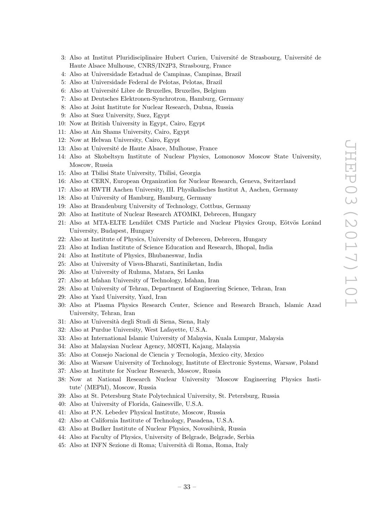- 3: Also at Institut Pluridisciplinaire Hubert Curien, Université de Strasbourg, Université de Haute Alsace Mulhouse, CNRS/IN2P3, Strasbourg, France
- 4: Also at Universidade Estadual de Campinas, Campinas, Brazil
- 5: Also at Universidade Federal de Pelotas, Pelotas, Brazil
- 6: Also at Université Libre de Bruxelles, Bruxelles, Belgium
- 7: Also at Deutsches Elektronen-Synchrotron, Hamburg, Germany
- 8: Also at Joint Institute for Nuclear Research, Dubna, Russia
- 9: Also at Suez University, Suez, Egypt
- 10: Now at British University in Egypt, Cairo, Egypt
- 11: Also at Ain Shams University, Cairo, Egypt
- 12: Now at Helwan University, Cairo, Egypt
- 13: Also at Université de Haute Alsace, Mulhouse, France
- 14: Also at Skobeltsyn Institute of Nuclear Physics, Lomonosov Moscow State University, Moscow, Russia
- 15: Also at Tbilisi State University, Tbilisi, Georgia
- 16: Also at CERN, European Organization for Nuclear Research, Geneva, Switzerland
- 17: Also at RWTH Aachen University, III. Physikalisches Institut A, Aachen, Germany
- 18: Also at University of Hamburg, Hamburg, Germany
- 19: Also at Brandenburg University of Technology, Cottbus, Germany
- 20: Also at Institute of Nuclear Research ATOMKI, Debrecen, Hungary
- 21: Also at MTA-ELTE Lendület CMS Particle and Nuclear Physics Group, Eötvös Loránd University, Budapest, Hungary
- 22: Also at Institute of Physics, University of Debrecen, Debrecen, Hungary
- 23: Also at Indian Institute of Science Education and Research, Bhopal, India
- 24: Also at Institute of Physics, Bhubaneswar, India
- 25: Also at University of Visva-Bharati, Santiniketan, India
- 26: Also at University of Ruhuna, Matara, Sri Lanka
- 27: Also at Isfahan University of Technology, Isfahan, Iran
- 28: Also at University of Tehran, Department of Engineering Science, Tehran, Iran
- 29: Also at Yazd University, Yazd, Iran
- 30: Also at Plasma Physics Research Center, Science and Research Branch, Islamic Azad University, Tehran, Iran
- 31: Also at Università degli Studi di Siena, Siena, Italy
- 32: Also at Purdue University, West Lafayette, U.S.A.
- 33: Also at International Islamic University of Malaysia, Kuala Lumpur, Malaysia
- 34: Also at Malaysian Nuclear Agency, MOSTI, Kajang, Malaysia
- 35: Also at Consejo Nacional de Ciencia y Tecnología, Mexico city, Mexico
- 36: Also at Warsaw University of Technology, Institute of Electronic Systems, Warsaw, Poland
- 37: Also at Institute for Nuclear Research, Moscow, Russia
- 38: Now at National Research Nuclear University 'Moscow Engineering Physics Institute' (MEPhI), Moscow, Russia
- 39: Also at St. Petersburg State Polytechnical University, St. Petersburg, Russia
- 40: Also at University of Florida, Gainesville, U.S.A.
- 41: Also at P.N. Lebedev Physical Institute, Moscow, Russia
- 42: Also at California Institute of Technology, Pasadena, U.S.A.
- 43: Also at Budker Institute of Nuclear Physics, Novosibirsk, Russia
- 44: Also at Faculty of Physics, University of Belgrade, Belgrade, Serbia
- 45: Also at INFN Sezione di Roma; Università di Roma, Roma, Italy